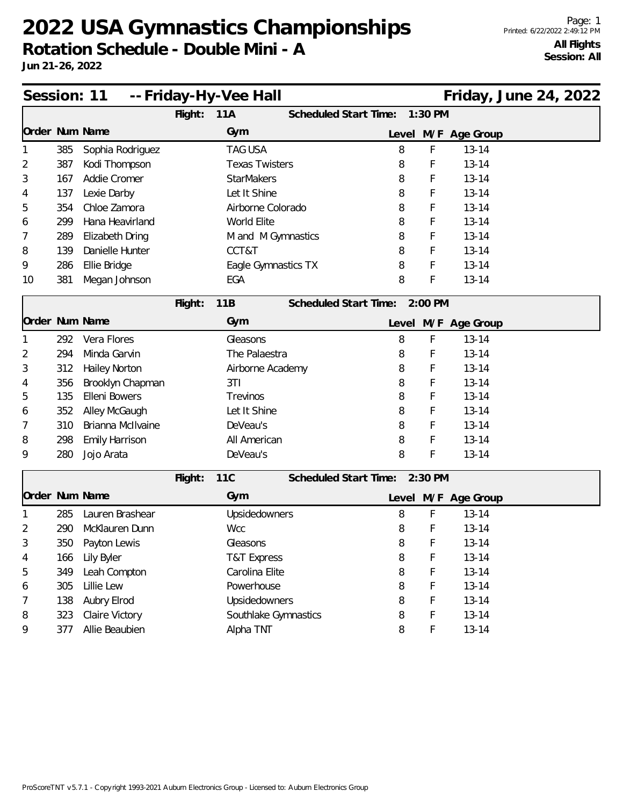**Rotation Schedule - Double Mini - A**

| Session: 11    |     |                      |         | -- Friday-Hy-Vee Hall |                       |                               |         |                     | Friday, June 24, 2022 |  |
|----------------|-----|----------------------|---------|-----------------------|-----------------------|-------------------------------|---------|---------------------|-----------------------|--|
|                |     |                      | Flight: | 11A                   | Scheduled Start Time: |                               | 1:30 PM |                     |                       |  |
| Order Num Name |     |                      |         | Gym                   |                       |                               |         | Level M/F Age Group |                       |  |
|                | 385 | Sophia Rodriguez     |         | <b>TAG USA</b>        |                       | 8                             | F       | $13 - 14$           |                       |  |
| 2              | 387 | Kodi Thompson        |         | <b>Texas Twisters</b> |                       | 8                             | F       | $13 - 14$           |                       |  |
| 3              | 167 | Addie Cromer         |         | <b>StarMakers</b>     |                       | 8                             | F       | $13 - 14$           |                       |  |
| 4              | 137 | Lexie Darby          |         | Let It Shine          |                       | 8                             | F       | $13 - 14$           |                       |  |
| 5              | 354 | Chloe Zamora         |         | Airborne Colorado     |                       | 8                             | F       | $13 - 14$           |                       |  |
| 6              | 299 | Hana Heavirland      |         | World Elite           |                       | 8                             | F       | $13 - 14$           |                       |  |
| 7              | 289 | Elizabeth Dring      |         | M and M Gymnastics    |                       | 8                             | F       | $13 - 14$           |                       |  |
| 8              | 139 | Danielle Hunter      |         | CCT&T                 |                       | 8                             | F       | $13 - 14$           |                       |  |
| 9              | 286 | Ellie Bridge         |         | Eagle Gymnastics TX   |                       | 8                             | F       | $13 - 14$           |                       |  |
| 10             | 381 | Megan Johnson        |         | EGA                   |                       | 8                             | F       | $13 - 14$           |                       |  |
|                |     |                      | Flight: | 11B                   | Scheduled Start Time: |                               | 2:00 PM |                     |                       |  |
| Order Num Name |     |                      |         | Gym                   |                       |                               |         | Level M/F Age Group |                       |  |
|                | 292 | Vera Flores          |         | Gleasons              |                       | 8                             | F       | $13 - 14$           |                       |  |
| 2              | 294 | Minda Garvin         |         | The Palaestra         |                       | 8                             | F       | $13 - 14$           |                       |  |
| 3              | 312 | <b>Hailey Norton</b> |         | Airborne Academy      |                       | 8                             | F       | $13 - 14$           |                       |  |
| 4              | 356 | Brooklyn Chapman     |         | 3T1                   |                       | 8                             | F       | $13 - 14$           |                       |  |
| 5              | 135 | Elleni Bowers        |         | Trevinos              |                       | 8                             | F       | $13 - 14$           |                       |  |
| 6              | 352 | Alley McGaugh        |         | Let It Shine          |                       | 8                             | F       | $13 - 14$           |                       |  |
| 7              | 310 | Brianna McIlvaine    |         | DeVeau's              |                       | 8                             | F       | $13 - 14$           |                       |  |
| 8              | 298 | Emily Harrison       |         | All American          |                       | 8                             | F       | $13 - 14$           |                       |  |
| 9              | 280 | Jojo Arata           |         | DeVeau's              |                       | 8                             | F       | $13 - 14$           |                       |  |
|                |     |                      | Flight: | <b>11C</b>            |                       | Scheduled Start Time: 2:30 PM |         |                     |                       |  |
| Order Num Name |     |                      |         | Gym                   |                       |                               |         | Level M/F Age Group |                       |  |
|                | 285 | Lauren Brashear      |         | Upsidedowners         |                       | 8                             | F       | $13 - 14$           |                       |  |
| 2              | 290 | McKlauren Dunn       |         | <b>Wcc</b>            |                       | 8                             | F       | $13 - 14$           |                       |  |
|                | 350 | Payton Lewis         |         | Gleasons              |                       | 8                             | F       | $13 - 14$           |                       |  |
| 4              | 166 | Lily Byler           |         | T&T Express           |                       | 8                             | F       | $13 - 14$           |                       |  |
| 5              | 349 | Leah Compton         |         | Carolina Elite        |                       | 8                             | F       | $13 - 14$           |                       |  |
| 6              | 305 | Lillie Lew           |         | Powerhouse            |                       | 8                             | F       | $13 - 14$           |                       |  |
| 7              | 138 | Aubry Elrod          |         | Upsidedowners         |                       | 8                             | F       | $13 - 14$           |                       |  |
| 8              | 323 | Claire Victory       |         | Southlake Gymnastics  |                       | 8                             | F       | $13 - 14$           |                       |  |
| 9              | 377 | Allie Beaubien       |         | Alpha TNT             |                       | 8                             | F       | $13 - 14$           |                       |  |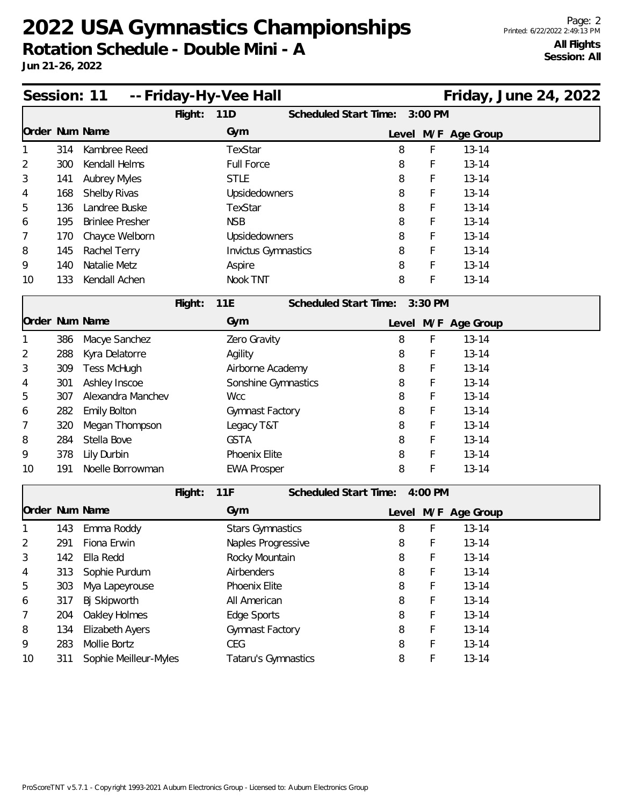| Session: 11    |     |                        |         | -- Friday-Hy-Vee Hall      |                       |       |         |                     | Friday, June 24, 2022 |  |
|----------------|-----|------------------------|---------|----------------------------|-----------------------|-------|---------|---------------------|-----------------------|--|
|                |     |                        | Flight: | 11D                        | Scheduled Start Time: |       | 3:00 PM |                     |                       |  |
| Order Num Name |     |                        |         | Gym                        |                       |       |         | Level M/F Age Group |                       |  |
|                | 314 | Kambree Reed           |         | TexStar                    |                       | 8     | F       | $13 - 14$           |                       |  |
| 2              | 300 | Kendall Helms          |         | <b>Full Force</b>          |                       | 8     | F       | $13 - 14$           |                       |  |
| 3              | 141 | <b>Aubrey Myles</b>    |         | <b>STLE</b>                |                       | 8     | F       | $13 - 14$           |                       |  |
| 4              | 168 | Shelby Rivas           |         | Upsidedowners              |                       | 8     | F       | $13 - 14$           |                       |  |
| 5              | 136 | Landree Buske          |         | TexStar                    |                       | 8     | F       | $13 - 14$           |                       |  |
| 6              | 195 | <b>Brinlee Presher</b> |         | <b>NSB</b>                 |                       | 8     | F       | $13 - 14$           |                       |  |
| 7              | 170 | Chayce Welborn         |         | Upsidedowners              |                       | 8     | F       | $13 - 14$           |                       |  |
| 8              | 145 | Rachel Terry           |         | <b>Invictus Gymnastics</b> |                       | 8     | F       | $13 - 14$           |                       |  |
| 9              | 140 | Natalie Metz           |         | Aspire                     |                       | 8     | F       | $13 - 14$           |                       |  |
| 10             | 133 | Kendall Achen          |         | Nook TNT                   |                       | 8     | F       | $13 - 14$           |                       |  |
|                |     |                        | Flight: | 11E                        | Scheduled Start Time: |       | 3:30 PM |                     |                       |  |
| Order Num Name |     |                        |         | Gym                        |                       | Level |         | M/F Age Group       |                       |  |
|                | 386 | Macye Sanchez          |         | Zero Gravity               |                       | 8     | F       | $13 - 14$           |                       |  |
| 2              | 288 | Kyra Delatorre         |         | Agility                    |                       | 8     | F       | $13 - 14$           |                       |  |
| 3              | 309 | <b>Tess McHugh</b>     |         | Airborne Academy           |                       | 8     | F       | $13 - 14$           |                       |  |
| 4              | 301 | Ashley Inscoe          |         | Sonshine Gymnastics        |                       | 8     | F       | $13 - 14$           |                       |  |
| 5              | 307 | Alexandra Manchev      |         | <b>Wcc</b>                 |                       | 8     | F       | $13 - 14$           |                       |  |
| 6              | 282 | <b>Emily Bolton</b>    |         | Gymnast Factory            |                       | 8     | F       | $13 - 14$           |                       |  |
| 7              | 320 | Megan Thompson         |         | Legacy T&T                 |                       | 8     | F       | $13 - 14$           |                       |  |
| 8              | 284 | Stella Bove            |         | <b>GSTA</b>                |                       | 8     | F       | $13 - 14$           |                       |  |
| 9              | 378 | Lily Durbin            |         | Phoenix Elite              |                       | 8     | F       | $13 - 14$           |                       |  |
| 10             | 191 | Noelle Borrowman       |         | <b>EWA Prosper</b>         |                       | 8     | F       | $13 - 14$           |                       |  |
|                |     |                        | Flight: | 11F                        | Scheduled Start Time: |       | 4:00 PM |                     |                       |  |
| Order Num Name |     |                        |         | Gym                        |                       |       |         | Level M/F Age Group |                       |  |
|                | 143 | Emma Roddy             |         | <b>Stars Gymnastics</b>    |                       | 8     | F       | $13 - 14$           |                       |  |
| 2              | 291 | Fiona Erwin            |         | Naples Progressive         |                       | 8     | F       | $13 - 14$           |                       |  |
| 3              | 142 | Ella Redd              |         | Rocky Mountain             |                       | 8     | F       | $13 - 14$           |                       |  |
| 4              | 313 | Sophie Purdum          |         | Airbenders                 |                       | 8     | F       | $13 - 14$           |                       |  |
| 5              | 303 | Mya Lapeyrouse         |         | Phoenix Elite              |                       | 8     | F       | $13 - 14$           |                       |  |
| 6              | 317 | Bj Skipworth           |         | All American               |                       | 8     | F       | $13 - 14$           |                       |  |
| 7              | 204 | Oakley Holmes          |         | Edge Sports                |                       | 8     | F       | $13 - 14$           |                       |  |
| 8              | 134 | Elizabeth Ayers        |         | Gymnast Factory            |                       | 8     | F       | $13 - 14$           |                       |  |
| 9              | 283 | Mollie Bortz           |         | CEG                        |                       | 8     | F       | $13 - 14$           |                       |  |
| 10             | 311 | Sophie Meilleur-Myles  |         | Tataru's Gymnastics        |                       | 8     | F       | $13 - 14$           |                       |  |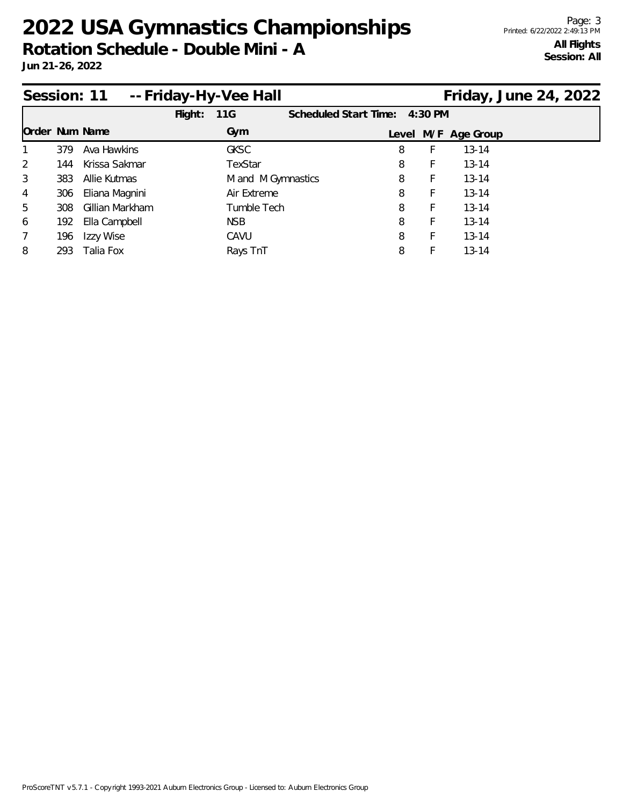**Rotation Schedule - Double Mini - A**

|                 |      | Session: 11 -- Friday-Hy-Vee Hall |         |                    |                               |   |    | Friday, June 24, 2022 |  |
|-----------------|------|-----------------------------------|---------|--------------------|-------------------------------|---|----|-----------------------|--|
|                 |      |                                   | Flight: | 11G                | Scheduled Start Time: 4:30 PM |   |    |                       |  |
| Order Num Name  |      |                                   |         | Gym                |                               |   |    | Level M/F Age Group   |  |
|                 | 379  | Ava Hawkins                       |         | <b>GKSC</b>        |                               | 8 |    | $13 - 14$             |  |
| 2               | 144  | Krissa Sakmar                     |         | TexStar            |                               | 8 | F. | $13 - 14$             |  |
| 3               | 383  | Allie Kutmas                      |         | M and M Gymnastics |                               | 8 | F  | $13 - 14$             |  |
| $\overline{4}$  | 306  | Eliana Magnini                    |         | Air Extreme        |                               | 8 | F  | $13 - 14$             |  |
| 5               | 308  | Gillian Markham                   |         | Tumble Tech        |                               | 8 | F  | $13 - 14$             |  |
| 6               | 192  | Ella Campbell                     |         | <b>NSB</b>         |                               | 8 | F  | $13 - 14$             |  |
| $7\overline{ }$ | 196  | Izzy Wise                         |         | CAVU               |                               | 8 |    | $13 - 14$             |  |
| 8               | 293. | Talia Fox                         |         | Rays TnT           |                               | 8 |    | $13 - 14$             |  |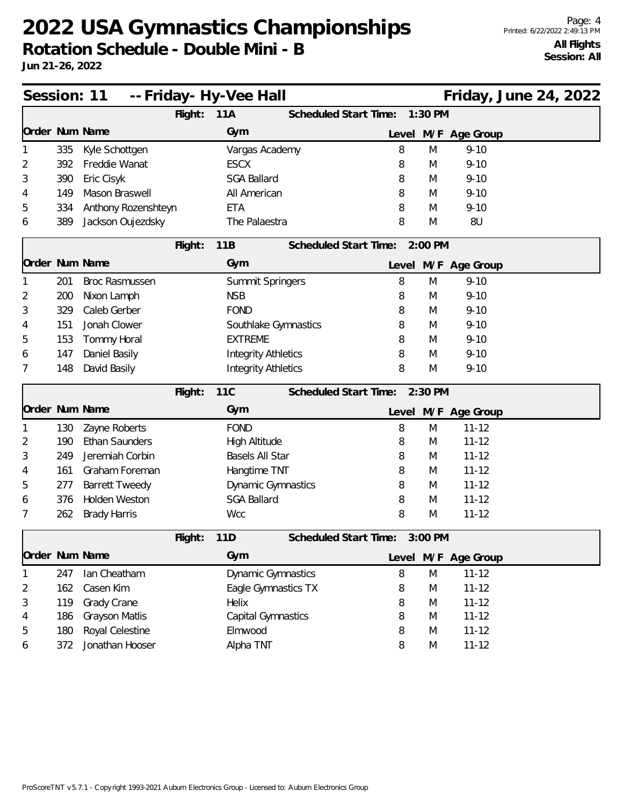**Rotation Schedule - Double Mini - B**

|   |     | Session: 11           |         | -- Friday- Hy-Vee Hall     |                       |       |           |                     | Friday, June 24, 2022 |  |
|---|-----|-----------------------|---------|----------------------------|-----------------------|-------|-----------|---------------------|-----------------------|--|
|   |     |                       | Flight: | 11A                        | Scheduled Start Time: |       | 1:30 PM   |                     |                       |  |
|   |     | Order Num Name        |         | Gym                        |                       |       |           | Level M/F Age Group |                       |  |
|   | 335 | Kyle Schottgen        |         | Vargas Academy             |                       | 8     | M         | $9 - 10$            |                       |  |
| 2 | 392 | Freddie Wanat         |         | <b>ESCX</b>                |                       | 8     | M         | $9 - 10$            |                       |  |
| 3 | 390 | Eric Cisyk            |         | <b>SGA Ballard</b>         |                       | 8     | M         | $9 - 10$            |                       |  |
| 4 | 149 | Mason Braswell        |         | All American               |                       | 8     | M         | $9 - 10$            |                       |  |
| 5 | 334 | Anthony Rozenshteyn   |         | <b>ETA</b>                 |                       | 8     | M         | $9 - 10$            |                       |  |
| 6 | 389 | Jackson Oujezdsky     |         | The Palaestra              |                       | 8     | M         | 8U                  |                       |  |
|   |     |                       | Flight: | 11B                        | Scheduled Start Time: |       | 2:00 PM   |                     |                       |  |
|   |     | Order Num Name        |         | Gym                        |                       |       |           | Level M/F Age Group |                       |  |
|   | 201 | <b>Broc Rasmussen</b> |         | Summit Springers           |                       | 8     | M         | $9 - 10$            |                       |  |
| 2 | 200 | Nixon Lamph           |         | <b>NSB</b>                 |                       | 8     | M         | $9 - 10$            |                       |  |
| 3 | 329 | Caleb Gerber          |         | <b>FOND</b>                |                       | 8     | M         | $9 - 10$            |                       |  |
| 4 | 151 | Jonah Clower          |         | Southlake Gymnastics       |                       | 8     | M         | $9 - 10$            |                       |  |
| 5 | 153 | Tommy Horal           |         | <b>EXTREME</b>             |                       | 8     | M         | $9 - 10$            |                       |  |
| 6 | 147 | Daniel Basily         |         | <b>Integrity Athletics</b> |                       | 8     | M         | $9 - 10$            |                       |  |
| 7 | 148 | David Basily          |         | <b>Integrity Athletics</b> |                       | 8     | M         | $9 - 10$            |                       |  |
|   |     |                       | Flight: | <b>11C</b>                 | Scheduled Start Time: |       | $2:30$ PM |                     |                       |  |
|   |     | Order Num Name        |         | Gym                        |                       | Level |           | M/F Age Group       |                       |  |
|   | 130 | Zayne Roberts         |         | <b>FOND</b>                |                       | 8     | M         | $11 - 12$           |                       |  |
| 2 | 190 | Ethan Saunders        |         | High Altitude              |                       | 8     | M         | $11 - 12$           |                       |  |
| 3 | 249 | Jeremiah Corbin       |         | Basels All Star            |                       | 8     | M         | $11 - 12$           |                       |  |
| 4 | 161 | Graham Foreman        |         | Hangtime TNT               |                       | 8     | M         | $11 - 12$           |                       |  |
| 5 | 277 | <b>Barrett Tweedy</b> |         | Dynamic Gymnastics         |                       | 8     | M         | $11 - 12$           |                       |  |
| 6 | 376 | <b>Holden Weston</b>  |         | <b>SGA Ballard</b>         |                       | 8     | M         | $11 - 12$           |                       |  |
| 7 | 262 | <b>Brady Harris</b>   |         | <b>Wcc</b>                 |                       | 8     | M         | $11 - 12$           |                       |  |
|   |     |                       | Flight: | 11D                        | Scheduled Start Time: |       | $3:00$ PM |                     |                       |  |
|   |     | Order Num Name        |         | Gym                        |                       |       |           | Level M/F Age Group |                       |  |
|   | 247 | Ian Cheatham          |         | <b>Dynamic Gymnastics</b>  |                       | 8     | M         | $11 - 12$           |                       |  |
| 2 | 162 | Casen Kim             |         | Eagle Gymnastics TX        |                       | 8     | M         | $11 - 12$           |                       |  |
| 3 | 119 | Grady Crane           |         | Helix                      |                       | 8     | M         | $11 - 12$           |                       |  |
| 4 | 186 | Grayson Matlis        |         | Capital Gymnastics         |                       | 8     | M         | $11 - 12$           |                       |  |
| 5 | 180 | Royal Celestine       |         | Elmwood                    |                       | 8     | M         | $11 - 12$           |                       |  |
| 6 | 372 | Jonathan Hooser       |         | Alpha TNT                  |                       | 8     | M         | $11 - 12$           |                       |  |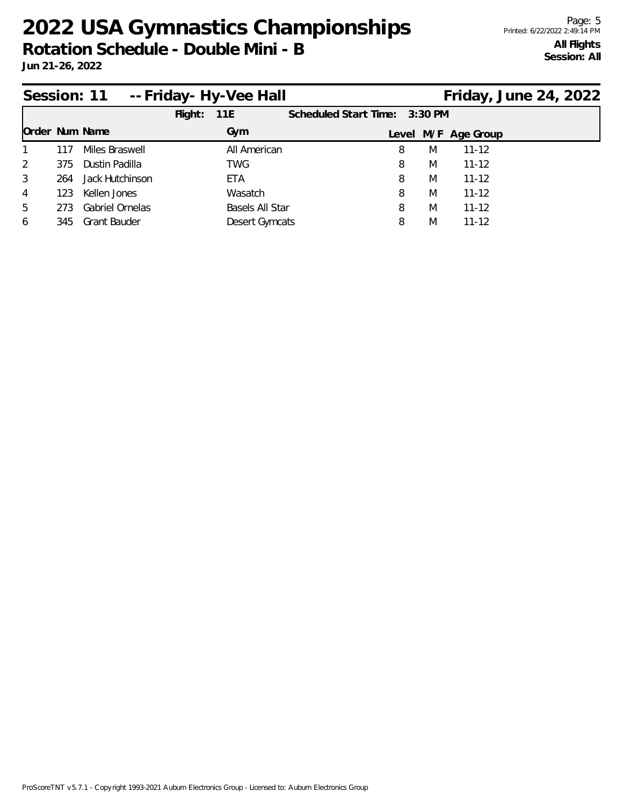|                |     | Session: 11 -- Friday - Hy-Vee Hall |         |                 |                               |   |                     | Friday, June 24, 2022 |  |
|----------------|-----|-------------------------------------|---------|-----------------|-------------------------------|---|---------------------|-----------------------|--|
|                |     |                                     | Flight: | 11E             | Scheduled Start Time: 3:30 PM |   |                     |                       |  |
| Order Num Name |     |                                     |         | Gym             |                               |   | Level M/F Age Group |                       |  |
| $\overline{1}$ | 117 | Miles Braswell                      |         | All American    | 8                             | M | $11 - 12$           |                       |  |
| 2              | 375 | Dustin Padilla                      |         | TWG             | 8                             | M | $11 - 12$           |                       |  |
| $\mathcal{S}$  | 264 | Jack Hutchinson                     |         | ETA             | 8                             | M | $11 - 12$           |                       |  |
| $\overline{4}$ | 123 | Kellen Jones                        |         | Wasatch         | 8                             | M | $11 - 12$           |                       |  |
| 5              | 273 | Gabriel Ornelas                     |         | Basels All Star | 8                             | M | $11 - 12$           |                       |  |
| 6              | 345 | <b>Grant Bauder</b>                 |         | Desert Gymcats  | 8                             | M | $11 - 12$           |                       |  |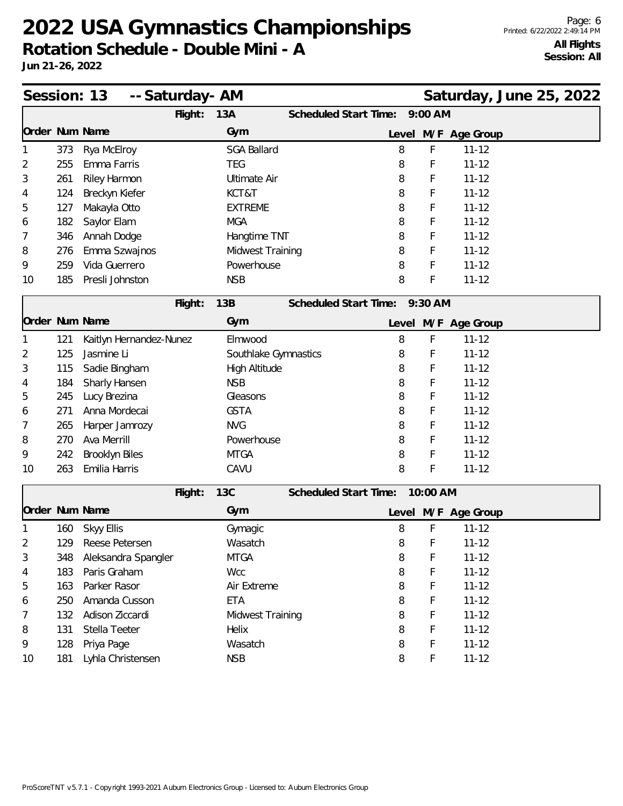**Rotation Schedule - Double Mini - A**

|    |     | Session: 13             | -- Saturday- AM |                      |                              |       |           |                     | Saturday, June 25, 2022 |  |
|----|-----|-------------------------|-----------------|----------------------|------------------------------|-------|-----------|---------------------|-------------------------|--|
|    |     |                         | Flight:         | 13A                  | Scheduled Start Time:        |       | $9:00$ AM |                     |                         |  |
|    |     | Order Num Name          |                 | Gym                  |                              | Level |           | M/F Age Group       |                         |  |
|    | 373 | Rya McElroy             |                 | <b>SGA Ballard</b>   |                              | 8     | F         | $11 - 12$           |                         |  |
| 2  | 255 | Emma Farris             |                 | <b>TEG</b>           |                              | 8     | F         | $11 - 12$           |                         |  |
| 3  | 261 | Riley Harmon            |                 | <b>Ultimate Air</b>  |                              | 8     | F         | $11 - 12$           |                         |  |
| 4  | 124 | Breckyn Kiefer          |                 | KCT&T                |                              | 8     | F         | $11 - 12$           |                         |  |
| 5  | 127 | Makayla Otto            |                 | <b>EXTREME</b>       |                              | 8     | F         | $11 - 12$           |                         |  |
| 6  | 182 | Saylor Elam             |                 | <b>MGA</b>           |                              | 8     | F         | $11 - 12$           |                         |  |
| 7  | 346 | Annah Dodge             |                 | Hangtime TNT         |                              | 8     | F         | $11 - 12$           |                         |  |
| 8  | 276 | Emma Szwajnos           |                 | Midwest Training     |                              | 8     | F         | $11 - 12$           |                         |  |
| 9  | 259 | Vida Guerrero           |                 | Powerhouse           |                              | 8     | F         | $11 - 12$           |                         |  |
| 10 | 185 | Presli Johnston         |                 | <b>NSB</b>           |                              | 8     | F         | $11 - 12$           |                         |  |
|    |     |                         | Flight:         | 13B                  | <b>Scheduled Start Time:</b> |       | 9:30 AM   |                     |                         |  |
|    |     | Order Num Name          |                 | Gym                  |                              | Level |           | M/F Age Group       |                         |  |
|    | 121 | Kaitlyn Hernandez-Nunez |                 | Elmwood              |                              | 8     | F         | $11 - 12$           |                         |  |
| 2  | 125 | Jasmine Li              |                 | Southlake Gymnastics |                              | 8     | F         | $11 - 12$           |                         |  |
| 3  | 115 | Sadie Bingham           |                 | High Altitude        |                              | 8     | F         | $11 - 12$           |                         |  |
| 4  | 184 | Sharly Hansen           |                 | <b>NSB</b>           |                              | 8     | F         | $11 - 12$           |                         |  |
| 5  | 245 | Lucy Brezina            |                 | Gleasons             |                              | 8     | F         | $11 - 12$           |                         |  |
| 6  | 271 | Anna Mordecai           |                 | <b>GSTA</b>          |                              | 8     | F         | $11 - 12$           |                         |  |
| 7  | 265 | Harper Jamrozy          |                 | <b>NVG</b>           |                              | 8     | F         | $11 - 12$           |                         |  |
| 8  | 270 | Ava Merrill             |                 | Powerhouse           |                              | 8     | F         | $11 - 12$           |                         |  |
| 9  | 242 | Brooklyn Biles          |                 | <b>MTGA</b>          |                              | 8     | F         | $11 - 12$           |                         |  |
| 10 | 263 | Emilia Harris           |                 | CAVU                 |                              | 8     | F         | $11 - 12$           |                         |  |
|    |     |                         | Flight:         | <b>13C</b>           | Scheduled Start Time:        |       | 10:00 AM  |                     |                         |  |
|    |     | Order Num Name          |                 | Gym                  |                              |       |           | Level M/F Age Group |                         |  |
|    | 160 | <b>Skyy Ellis</b>       |                 | Gymagic              |                              | 8     | F         | $11 - 12$           |                         |  |
| 2  |     | 129 Reese Petersen      |                 | Wasatch              |                              | 8     | F         | $11 - 12$           |                         |  |
| 3  | 348 | Aleksandra Spangler     |                 | <b>MTGA</b>          |                              | 8     | F         | $11 - 12$           |                         |  |
| 4  | 183 | Paris Graham            |                 | Wcc                  |                              | 8     | F         | $11 - 12$           |                         |  |
| 5  | 163 | Parker Rasor            |                 | Air Extreme          |                              | 8     | F         | $11 - 12$           |                         |  |
| 6  | 250 | Amanda Cusson           |                 | <b>ETA</b>           |                              | 8     | F         | $11 - 12$           |                         |  |
| 7  | 132 | Adison Ziccardi         |                 | Midwest Training     |                              | 8     | F         | $11 - 12$           |                         |  |
| 8  | 131 | Stella Teeter           |                 | Helix                |                              | 8     | F         | $11 - 12$           |                         |  |
| 9  | 128 | Priya Page              |                 | Wasatch              |                              | 8     | F         | $11 - 12$           |                         |  |
| 10 | 181 | Lyhla Christensen       |                 | <b>NSB</b>           |                              | 8     | F         | $11 - 12$           |                         |  |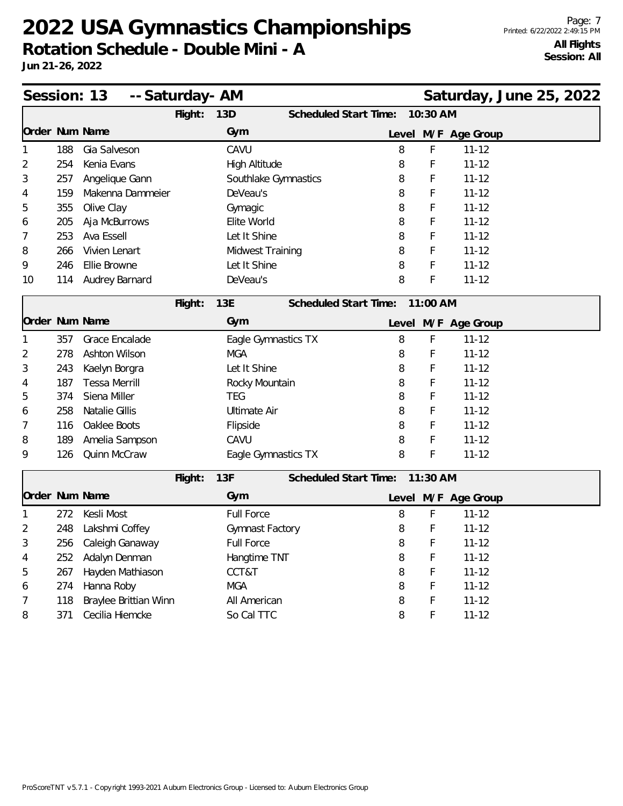**Rotation Schedule - Double Mini - A**

| Session: 13    |     | -- Saturday- AM       |         |                      |                              |       |            | Saturday, June 25, 2022 |  |  |
|----------------|-----|-----------------------|---------|----------------------|------------------------------|-------|------------|-------------------------|--|--|
|                |     |                       | Flight: | 13D                  | <b>Scheduled Start Time:</b> |       | 10:30 AM   |                         |  |  |
| Order Num Name |     |                       |         | Gym                  |                              |       |            | Level M/F Age Group     |  |  |
| 1              | 188 | Gia Salveson          |         | CAVU                 |                              | 8     | F          | $11 - 12$               |  |  |
| $\overline{2}$ | 254 | Kenia Evans           |         | <b>High Altitude</b> |                              | 8     | F          | $11 - 12$               |  |  |
| 3              | 257 | Angelique Gann        |         | Southlake Gymnastics |                              | 8     | F          | $11 - 12$               |  |  |
| 4              | 159 | Makenna Dammeier      |         | DeVeau's             |                              | 8     | F          | $11 - 12$               |  |  |
| 5              | 355 | Olive Clay            |         | Gymagic              |                              | 8     | F          | $11 - 12$               |  |  |
| 6              | 205 | Aja McBurrows         |         | Elite World          |                              | 8     | F          | $11 - 12$               |  |  |
| 7              | 253 | Ava Essell            |         | Let It Shine         |                              | 8     | F          | $11 - 12$               |  |  |
| 8              | 266 | Vivien Lenart         |         | Midwest Training     |                              | 8     | F          | $11 - 12$               |  |  |
| 9              | 246 | Ellie Browne          |         | Let It Shine         |                              | 8     | F          | $11 - 12$               |  |  |
| 10             | 114 | Audrey Barnard        |         | DeVeau's             |                              | 8     | F          | $11 - 12$               |  |  |
|                |     |                       | Flight: | 13E                  | Scheduled Start Time:        |       | 11:00 AM   |                         |  |  |
| Order Num Name |     |                       |         | Gym                  |                              | Level |            | M/F Age Group           |  |  |
|                | 357 | Grace Encalade        |         | Eagle Gymnastics TX  |                              | 8     | F          | $11 - 12$               |  |  |
| 2              | 278 | Ashton Wilson         |         | <b>MGA</b>           |                              | 8     | F          | $11 - 12$               |  |  |
| 3              | 243 | Kaelyn Borgra         |         | Let It Shine         |                              | 8     | F          | $11 - 12$               |  |  |
| 4              | 187 | <b>Tessa Merrill</b>  |         | Rocky Mountain       |                              | 8     | F          | $11 - 12$               |  |  |
| 5              | 374 | Siena Miller          |         | <b>TEG</b>           |                              | 8     | F          | $11 - 12$               |  |  |
| 6              | 258 | Natalie Gillis        |         | <b>Ultimate Air</b>  |                              | 8     | F          | $11 - 12$               |  |  |
| 7              | 116 | Oaklee Boots          |         | Flipside             |                              | 8     | F          | $11 - 12$               |  |  |
| 8              | 189 | Amelia Sampson        |         | CAVU                 |                              | 8     | F          | $11 - 12$               |  |  |
| 9              | 126 | Quinn McCraw          |         | Eagle Gymnastics TX  |                              | 8     | F          | $11 - 12$               |  |  |
|                |     |                       | Flight: | 13F                  | Scheduled Start Time:        |       | $11:30$ AM |                         |  |  |
| Order Num Name |     |                       |         | Gym                  |                              |       |            | Level M/F Age Group     |  |  |
|                | 272 | Kesli Most            |         | <b>Full Force</b>    |                              | 8     | F          | $11 - 12$               |  |  |
| 1              | 248 |                       |         |                      |                              |       | F          | $11 - 12$               |  |  |
| 2              |     | Lakshmi Coffey        |         | Gymnast Factory      |                              | 8     | F          |                         |  |  |
| 3              | 256 | Caleigh Ganaway       |         | Full Force           |                              | 8     |            | $11 - 12$               |  |  |
| 4              | 252 | Adalyn Denman         |         | Hangtime TNT         |                              | 8     | F          | $11 - 12$               |  |  |
| 5              | 267 | Hayden Mathiason      |         | CCT&T                |                              | 8     | F<br>F     | $11 - 12$               |  |  |
| 6              | 274 | Hanna Roby            |         | <b>MGA</b>           |                              | 8     |            | $11 - 12$               |  |  |
| 7              | 118 | Braylee Brittian Winn |         | All American         |                              | 8     | F          | $11 - 12$               |  |  |
| 8              | 371 | Cecilia Hiemcke       |         | So Cal TTC           |                              | 8     | F          | $11 - 12$               |  |  |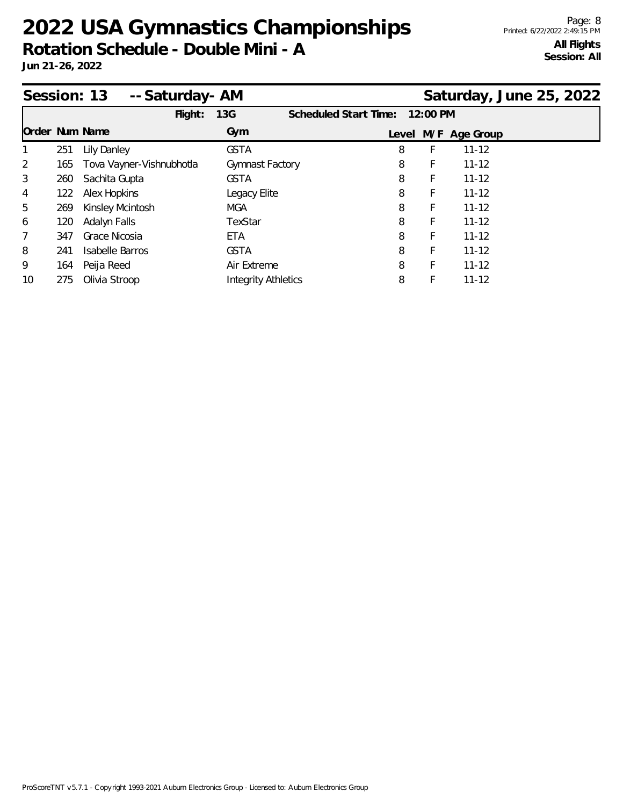**Rotation Schedule - Double Mini - A**

|                |     | Session: 13<br>-- Saturday- AM |                            |                       |   |          |                     | Saturday, June 25, 2022 |
|----------------|-----|--------------------------------|----------------------------|-----------------------|---|----------|---------------------|-------------------------|
|                |     | Flight:                        | 13G                        | Scheduled Start Time: |   | 12:00 PM |                     |                         |
| Order Num Name |     |                                | Gym                        |                       |   |          | Level M/F Age Group |                         |
|                | 251 | <b>Lily Danley</b>             | <b>GSTA</b>                |                       | 8 | F        | $11 - 12$           |                         |
| 2              | 165 | Tova Vayner-Vishnubhotla       | Gymnast Factory            |                       | 8 | F        | $11 - 12$           |                         |
| 3              | 260 | Sachita Gupta                  | <b>GSTA</b>                |                       | 8 | F        | $11 - 12$           |                         |
| 4              | 122 | Alex Hopkins                   | Legacy Elite               |                       | 8 | F.       | $11 - 12$           |                         |
| 5              | 269 | Kinsley Mcintosh               | <b>MGA</b>                 |                       | 8 | F        | $11 - 12$           |                         |
| 6              | 120 | Adalyn Falls                   | TexStar                    |                       | 8 | F        | $11 - 12$           |                         |
| $\overline{7}$ | 347 | Grace Nicosia                  | ETA                        |                       | 8 | F        | $11 - 12$           |                         |
| 8              | 241 | <b>Isabelle Barros</b>         | <b>GSTA</b>                |                       | 8 | F        | $11 - 12$           |                         |
| 9              | 164 | Peija Reed                     | Air Extreme                |                       | 8 | F        | $11 - 12$           |                         |
| 10             | 275 | Olivia Stroop                  | <b>Integrity Athletics</b> |                       | 8 | F        | $11 - 12$           |                         |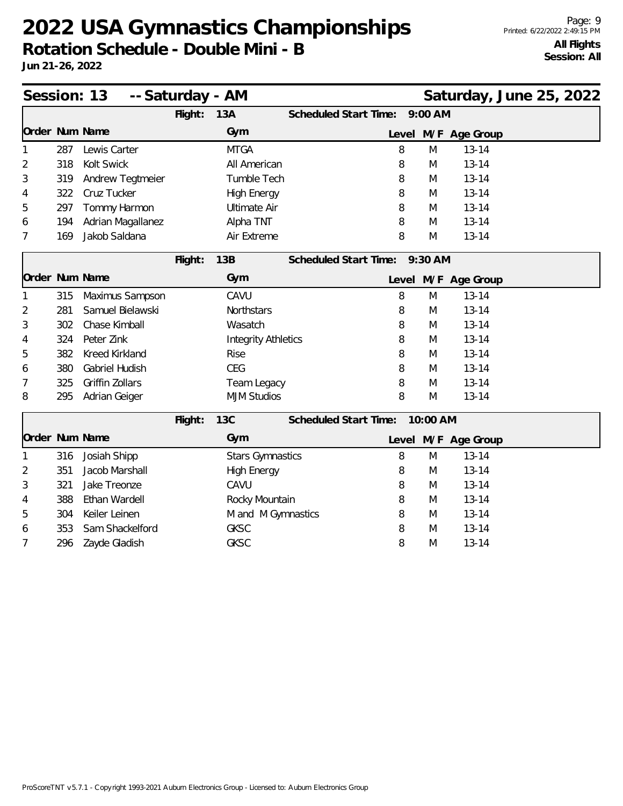**Rotation Schedule - Double Mini - B**

|                |     | Session: 13           | -- Saturday - AM |                            |                               |   |           |                     | Saturday, June 25, 2022 |  |
|----------------|-----|-----------------------|------------------|----------------------------|-------------------------------|---|-----------|---------------------|-------------------------|--|
|                |     |                       | Flight:          | 13A                        | <b>Scheduled Start Time:</b>  |   | $9:00$ AM |                     |                         |  |
| Order Num Name |     |                       |                  | Gym                        |                               |   |           | Level M/F Age Group |                         |  |
|                | 287 | Lewis Carter          |                  | <b>MTGA</b>                |                               | 8 | M         | $13 - 14$           |                         |  |
| 2              | 318 | Kolt Swick            |                  | All American               |                               | 8 | M         | $13 - 14$           |                         |  |
| 3              | 319 | Andrew Tegtmeier      |                  | Tumble Tech                |                               | 8 | M         | $13 - 14$           |                         |  |
| 4              | 322 | Cruz Tucker           |                  | <b>High Energy</b>         |                               | 8 | M         | $13 - 14$           |                         |  |
| 5              | 297 | Tommy Harmon          |                  | <b>Ultimate Air</b>        |                               | 8 | M         | $13 - 14$           |                         |  |
| 6              | 194 | Adrian Magallanez     |                  | Alpha TNT                  |                               | 8 | M         | $13 - 14$           |                         |  |
| 7              | 169 | Jakob Saldana         |                  | Air Extreme                |                               | 8 | M         | $13 - 14$           |                         |  |
|                |     |                       | Flight:          | 13B                        | Scheduled Start Time: 9:30 AM |   |           |                     |                         |  |
| Order Num Name |     |                       |                  | Gym                        |                               |   |           | Level M/F Age Group |                         |  |
|                | 315 | Maximus Sampson       |                  | CAVU                       |                               | 8 | M         | $13 - 14$           |                         |  |
| 2              | 281 | Samuel Bielawski      |                  | Northstars                 |                               | 8 | M         | $13 - 14$           |                         |  |
| 3              | 302 | Chase Kimball         |                  | Wasatch                    |                               | 8 | M         | $13 - 14$           |                         |  |
| 4              | 324 | Peter Zink            |                  | <b>Integrity Athletics</b> |                               | 8 | M         | $13 - 14$           |                         |  |
| 5              | 382 | <b>Kreed Kirkland</b> |                  | <b>Rise</b>                |                               | 8 | M         | $13 - 14$           |                         |  |
| 6              | 380 | Gabriel Hudish        |                  | <b>CEG</b>                 |                               | 8 | M         | $13 - 14$           |                         |  |
| 7              | 325 | Griffin Zollars       |                  | Team Legacy                |                               | 8 | M         | $13 - 14$           |                         |  |
| 8              | 295 | Adrian Geiger         |                  | <b>MJM Studios</b>         |                               | 8 | M         | $13 - 14$           |                         |  |
|                |     |                       | Flight:          | <b>13C</b>                 | Scheduled Start Time:         |   | 10:00 AM  |                     |                         |  |
| Order Num Name |     |                       |                  | Gym                        |                               |   |           | Level M/F Age Group |                         |  |
|                | 316 | Josiah Shipp          |                  | <b>Stars Gymnastics</b>    |                               | 8 | M         | $13 - 14$           |                         |  |
| 2              | 351 | Jacob Marshall        |                  | <b>High Energy</b>         |                               | 8 | M         | $13 - 14$           |                         |  |
| 3              | 321 | Jake Treonze          |                  | CAVU                       |                               | 8 | M         | $13 - 14$           |                         |  |
| 4              | 388 | Ethan Wardell         |                  | Rocky Mountain             |                               | 8 | M         | $13 - 14$           |                         |  |
| 5              | 304 | Keiler Leinen         |                  | M and M Gymnastics         |                               | 8 | M         | $13 - 14$           |                         |  |
| 6              | 353 | Sam Shackelford       |                  | <b>GKSC</b>                |                               | 8 | M         | $13 - 14$           |                         |  |
| 7              | 296 | Zayde Gladish         |                  | <b>GKSC</b>                |                               | 8 | M         | $13 - 14$           |                         |  |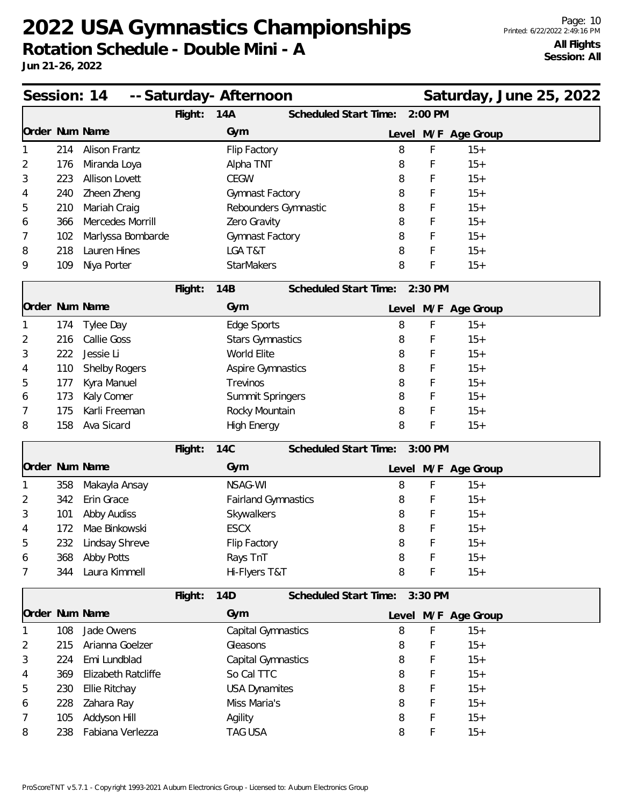|                |     | Session: 14          |         | -- Saturday- Afternoon     |                               |             |                     | Saturday, June 25, 2022 |  |
|----------------|-----|----------------------|---------|----------------------------|-------------------------------|-------------|---------------------|-------------------------|--|
|                |     |                      | Flight: | 14A                        | Scheduled Start Time:         | 2:00 PM     |                     |                         |  |
| Order Num Name |     |                      |         | Gym                        |                               |             | Level M/F Age Group |                         |  |
|                | 214 | <b>Alison Frantz</b> |         | Flip Factory               | 8                             | F           | $15+$               |                         |  |
| 2              | 176 | Miranda Loya         |         | Alpha TNT                  | 8                             | F           | $15+$               |                         |  |
| 3              | 223 | Allison Lovett       |         | <b>CEGW</b>                | 8                             | F           | $15+$               |                         |  |
| 4              | 240 | Zheen Zheng          |         | Gymnast Factory            | 8                             | F           | $15+$               |                         |  |
| 5              | 210 | Mariah Craig         |         | Rebounders Gymnastic       | 8                             | F           | $15+$               |                         |  |
| 6              | 366 | Mercedes Morrill     |         | Zero Gravity               | 8                             | F           | $15+$               |                         |  |
| $\prime$       | 102 | Marlyssa Bombarde    |         | Gymnast Factory            | 8                             | F           | $15+$               |                         |  |
| 8              | 218 | Lauren Hines         |         | LGA T&T                    | 8                             | F           | $15+$               |                         |  |
| 9              | 109 | Niya Porter          |         | <b>StarMakers</b>          | 8                             | F           | $15+$               |                         |  |
|                |     |                      | Flight: | 14B                        | Scheduled Start Time: 2:30 PM |             |                     |                         |  |
| Order Num Name |     |                      |         | Gym                        |                               |             | Level M/F Age Group |                         |  |
|                | 174 | Tylee Day            |         | Edge Sports                | 8                             | F           | $15+$               |                         |  |
| 2              | 216 | Callie Goss          |         | <b>Stars Gymnastics</b>    | 8                             | F           | $15+$               |                         |  |
| 3              | 222 | Jessie Li            |         | World Elite                | 8                             | F           | $15+$               |                         |  |
| 4              | 110 | Shelby Rogers        |         | <b>Aspire Gymnastics</b>   | 8                             | F           | $15+$               |                         |  |
| 5              | 177 | Kyra Manuel          |         | Trevinos                   | 8                             | F           | $15+$               |                         |  |
| 6              | 173 | Kaly Comer           |         | Summit Springers           | 8                             | F           | $15+$               |                         |  |
| 7              | 175 | Karli Freeman        |         | Rocky Mountain             | 8                             | F           | $15+$               |                         |  |
| 8              | 158 | Ava Sicard           |         | <b>High Energy</b>         | 8                             | F           | $15+$               |                         |  |
|                |     |                      | Flight: | <b>14C</b>                 | Scheduled Start Time:         | 3:00 PM     |                     |                         |  |
| Order Num Name |     |                      |         | Gym                        |                               |             | Level M/F Age Group |                         |  |
|                | 358 | Makayla Ansay        |         | NSAG-WI                    | 8                             | F           | $15+$               |                         |  |
| 2              | 342 | Erin Grace           |         | <b>Fairland Gymnastics</b> | 8                             | F           | $15+$               |                         |  |
| 3              | 101 | Abby Audiss          |         | Skywalkers                 | 8                             | F           | $15+$               |                         |  |
| 4              | 172 | Mae Binkowski        |         | <b>ESCX</b>                | 8                             | F           | $15+$               |                         |  |
| ხ              | 232 | Lindsay Shreve       |         | Flip Factory               | 8                             | F           | $15+$               |                         |  |
| 6              | 368 | Abby Potts           |         | Rays TnT                   | 8                             | F           | $15+$               |                         |  |
| 7              | 344 | Laura Kimmell        |         | Hi-Flyers T&T              | 8                             | F           | $15+$               |                         |  |
|                |     |                      | Flight: | 14D                        | Scheduled Start Time:         | 3:30 PM     |                     |                         |  |
| Order Num Name |     |                      |         | Gym                        |                               |             | Level M/F Age Group |                         |  |
|                | 108 | Jade Owens           |         | Capital Gymnastics         | 8                             | $\mathsf F$ | $15+$               |                         |  |
| 2              | 215 | Arianna Goelzer      |         | Gleasons                   | 8                             | F           | $15+$               |                         |  |
| 3              | 224 | Emi Lundblad         |         | Capital Gymnastics         | 8                             | F           | $15+$               |                         |  |
| 4              | 369 | Elizabeth Ratcliffe  |         | So Cal TTC                 | 8                             | F           | $15+$               |                         |  |
| 5              | 230 | Ellie Ritchay        |         | <b>USA Dynamites</b>       | 8                             | F           | $15+$               |                         |  |
| 6              | 228 | Zahara Ray           |         | Miss Maria's               | 8                             | F           | $15+$               |                         |  |
| 7              | 105 | Addyson Hill         |         | Agility                    | 8                             | F           | $15+$               |                         |  |
| 8              | 238 | Fabiana Verlezza     |         | TAG USA                    | 8                             | F           | $15+$               |                         |  |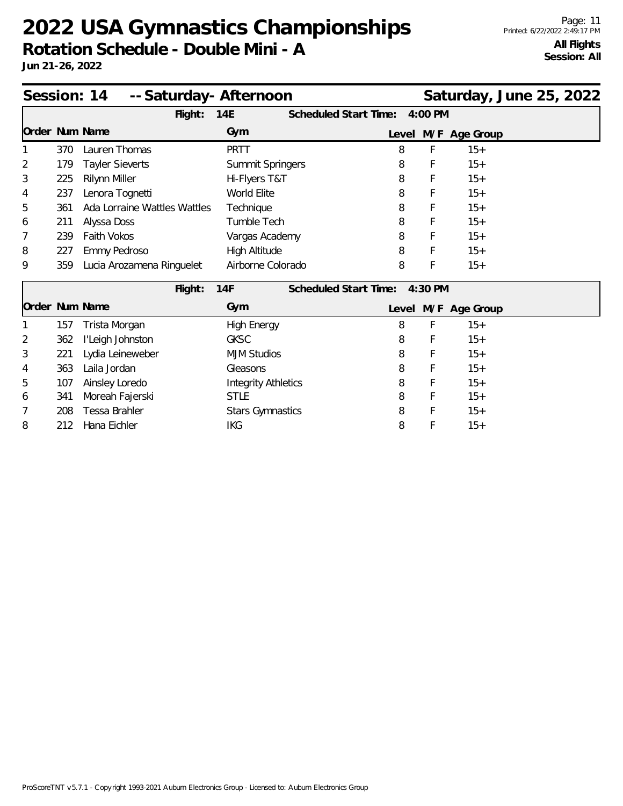**Jun 21-26, 2022**

| Session: 14    |     | -- Saturday - Afternoon      |                      |                              |       |           |               | Saturday, June 25, 2022 |  |
|----------------|-----|------------------------------|----------------------|------------------------------|-------|-----------|---------------|-------------------------|--|
|                |     | Flight:                      | 14E                  | <b>Scheduled Start Time:</b> |       | $4:00$ PM |               |                         |  |
| Order Num Name |     |                              | Gym                  |                              | Level |           | M/F Age Group |                         |  |
|                | 370 | Lauren Thomas                | <b>PRTT</b>          |                              | 8     | F         | $15+$         |                         |  |
| $\overline{2}$ | 179 | <b>Tayler Sieverts</b>       | Summit Springers     |                              | 8     | F         | $15+$         |                         |  |
| 3              | 225 | <b>Rilynn Miller</b>         | Hi-Flyers T&T        |                              | 8     | F         | $15+$         |                         |  |
| 4              | 237 | Lenora Tognetti              | World Elite          |                              | 8     | F         | $15+$         |                         |  |
| 5              | 361 | Ada Lorraine Wattles Wattles | Technique            |                              | 8     | F         | $15+$         |                         |  |
| 6              | 211 | Alyssa Doss                  | Tumble Tech          |                              | 8     | F         | $15+$         |                         |  |
| 7              | 239 | <b>Faith Vokos</b>           | Vargas Academy       |                              | 8     | F         | $15+$         |                         |  |
| 8              | 227 | Emmy Pedroso                 | <b>High Altitude</b> |                              | 8     | F         | $15+$         |                         |  |
| 9              | 359 | Lucia Arozamena Ringuelet    | Airborne Colorado    |                              | 8     | F         | $15+$         |                         |  |
|                |     | Flight:                      | 14F                  | <b>Scheduled Start Time:</b> |       | $4:30$ PM |               |                         |  |
| Order Num Name |     |                              | Gym                  |                              | Level |           | M/F Age Group |                         |  |
|                | 157 | Trista Morgan                | <b>High Energy</b>   |                              | 8     | F         | $15+$         |                         |  |

2 362 I'Leigh Johnston GKSC 8 F 15+ 3 221 Lydia Leineweber MJM Studios 8 F 15+ 4 363 Laila Jordan Gleasons 8 F 15+ 5 107 Ainsley Loredo **Integrity Athletics** 8 F 15+ 6 341 Moreah Fajerski STLE STLE 8 F 15+ 7 208 Tessa Brahler Stars Gymnastics 8 F 15+ 8 212 Hana Eichler IXG IKG 8 F 15+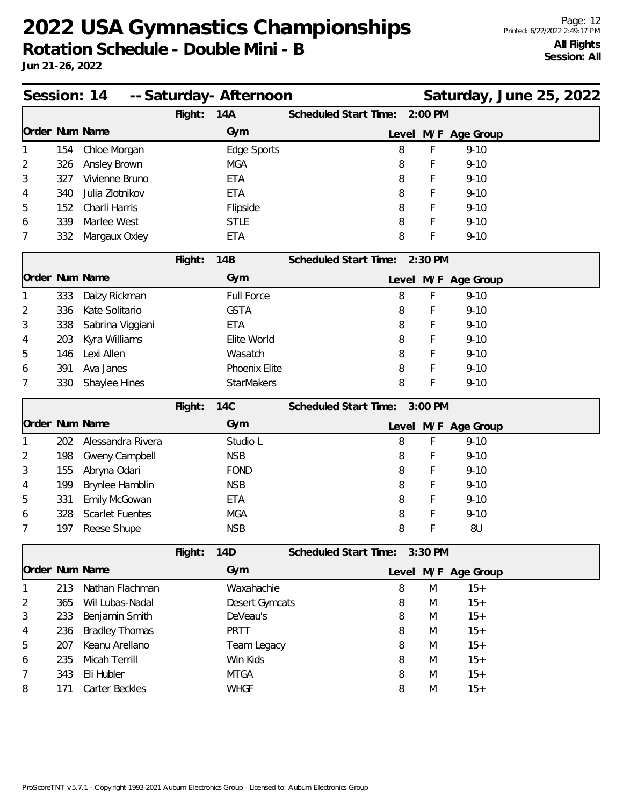| Session: 14    |     |                        |         | -- Saturday- Afternoon |                                  | Saturday, June 25, 2022 |
|----------------|-----|------------------------|---------|------------------------|----------------------------------|-------------------------|
|                |     |                        | Flight: | 14A                    | Scheduled Start Time:<br>2:00 PM |                         |
| Order Num Name |     |                        |         | Gym                    |                                  | Level M/F Age Group     |
|                | 154 | Chloe Morgan           |         | Edge Sports            | 8                                | F<br>$9 - 10$           |
| 2              | 326 | Ansley Brown           |         | <b>MGA</b>             | 8                                | F<br>$9 - 10$           |
| 3              | 327 | Vivienne Bruno         |         | <b>ETA</b>             | 8                                | F<br>$9 - 10$           |
| 4              | 340 | Julia Zlotnikov        |         | <b>ETA</b>             | 8                                | $9 - 10$<br>F           |
| 5              | 152 | Charli Harris          |         | Flipside               | 8                                | F<br>$9 - 10$           |
| 6              | 339 | Marlee West            |         | <b>STLE</b>            | 8                                | F<br>$9 - 10$           |
| 7              | 332 | Margaux Oxley          |         | <b>ETA</b>             | 8                                | F<br>$9 - 10$           |
|                |     |                        | Flight: | 14B                    | Scheduled Start Time:<br>2:30 PM |                         |
| Order Num Name |     |                        |         | Gym                    |                                  | Level M/F Age Group     |
|                | 333 | Daizy Rickman          |         | <b>Full Force</b>      | 8                                | F<br>$9 - 10$           |
| 2              | 336 | Kate Solitario         |         | <b>GSTA</b>            | 8                                | $9 - 10$<br>F           |
| 3              | 338 | Sabrina Viggiani       |         | <b>ETA</b>             | 8                                | F<br>$9 - 10$           |
| 4              | 203 | Kyra Williams          |         | Elite World            | 8                                | F<br>$9 - 10$           |
| 5              | 146 | Lexi Allen             |         | Wasatch                | 8                                | F<br>$9 - 10$           |
| 6              | 391 | Ava Janes              |         | Phoenix Elite          | 8                                | F<br>$9 - 10$           |
| 7              | 330 | Shaylee Hines          |         | <b>StarMakers</b>      | 8                                | F<br>$9 - 10$           |
|                |     |                        | Flight: | <b>14C</b>             | Scheduled Start Time:<br>3:00 PM |                         |
| Order Num Name |     |                        |         | Gym                    |                                  | Level M/F Age Group     |
|                | 202 | Alessandra Rivera      |         | Studio L               | 8                                | F<br>$9 - 10$           |
|                |     |                        |         |                        |                                  |                         |
| 2              | 198 | Gweny Campbell         |         | <b>NSB</b>             | 8                                | F<br>$9 - 10$           |
| 3              | 155 | Abryna Odari           |         | <b>FOND</b>            | 8                                | F<br>$9 - 10$           |
| 4              | 199 | Brynlee Hamblin        |         | <b>NSB</b>             | 8                                | F<br>$9 - 10$           |
| 5              | 331 | Emily McGowan          |         | <b>ETA</b>             | 8                                | F<br>$9 - 10$           |
| 6              | 328 | <b>Scarlet Fuentes</b> |         | <b>MGA</b>             | 8                                | F<br>$9 - 10$           |
| 7              | 197 | Reese Shupe            |         | <b>NSB</b>             | 8                                | F<br>8U                 |
|                |     |                        | Flight: | 14D                    | Scheduled Start Time:<br>3:30 PM |                         |
| Order Num Name |     |                        |         | Gym                    |                                  | Level M/F Age Group     |
| 1              | 213 | Nathan Flachman        |         | Waxahachie             | 8                                | M<br>$15+$              |
| 2              | 365 | Wil Lubas-Nadal        |         | <b>Desert Gymcats</b>  | 8                                | $15+$<br>M              |
| 3              | 233 | Benjamin Smith         |         | DeVeau's               | 8                                | $15+$<br>M              |
| 4              | 236 | <b>Bradley Thomas</b>  |         | PRTT                   | 8                                | $15+$<br>M              |
| 5              | 207 | Keanu Arellano         |         | Team Legacy            | 8                                | $15+$<br>M              |
| 6              | 235 | Micah Terrill          |         | Win Kids               | 8                                | $15+$<br>M              |
| 7              | 343 | Eli Hubler             |         | <b>MTGA</b>            | 8                                | M<br>$15+$              |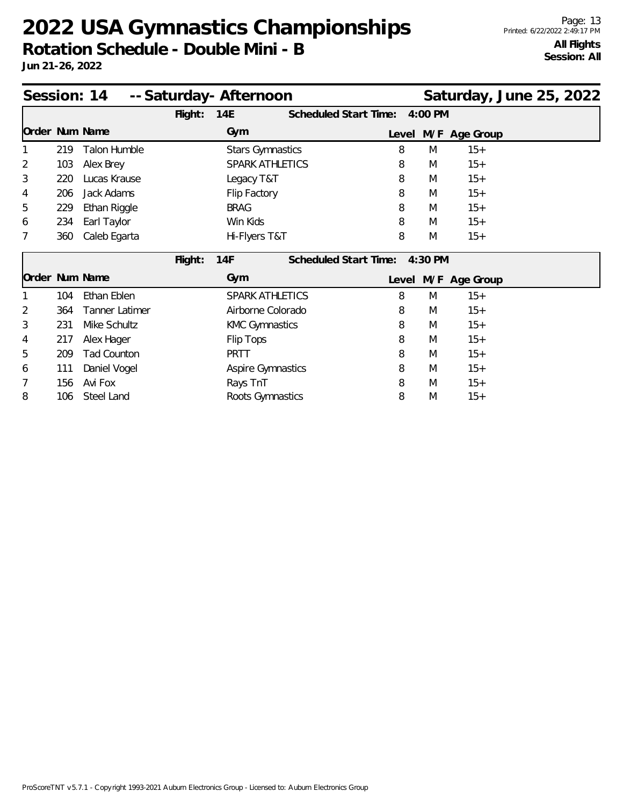**Rotation Schedule - Double Mini - B**

| Session: 14 -- Saturday - Afternoon<br>Saturday, June 25, 2022 |     |                |         |                          |  |                       |   |           |                     |  |  |
|----------------------------------------------------------------|-----|----------------|---------|--------------------------|--|-----------------------|---|-----------|---------------------|--|--|
|                                                                |     |                | Flight: | 14E                      |  | Scheduled Start Time: |   | 4:00 PM   |                     |  |  |
| Order Num Name                                                 |     |                |         | Gym                      |  |                       |   |           | Level M/F Age Group |  |  |
|                                                                | 219 | Talon Humble   |         | <b>Stars Gymnastics</b>  |  |                       | 8 | M         | $15+$               |  |  |
| $\overline{2}$                                                 | 103 | Alex Brey      |         | SPARK ATHLETICS          |  |                       | 8 | M         | $15+$               |  |  |
| 3                                                              | 220 | Lucas Krause   |         | Legacy T&T               |  |                       | 8 | M         | $15+$               |  |  |
| 4                                                              | 206 | Jack Adams     |         | Flip Factory             |  |                       | 8 | M         | $15+$               |  |  |
| 5                                                              | 229 | Ethan Riggle   |         | <b>BRAG</b>              |  |                       | 8 | M         | $15+$               |  |  |
| 6                                                              | 234 | Earl Taylor    |         | Win Kids                 |  |                       | 8 | M         | $15+$               |  |  |
|                                                                | 360 | Caleb Egarta   |         | Hi-Flyers T&T            |  |                       | 8 | M         | $15+$               |  |  |
|                                                                |     |                | Flight: | 14F                      |  | Scheduled Start Time: |   | $4:30$ PM |                     |  |  |
| Order Num Name                                                 |     |                |         | Gym                      |  |                       |   |           | Level M/F Age Group |  |  |
|                                                                | 104 | Ethan Eblen    |         | <b>SPARK ATHLETICS</b>   |  |                       | 8 | M         | $15+$               |  |  |
| $\overline{2}$                                                 | 364 | Tanner Latimer |         | Airborne Colorado        |  |                       | 8 | M         | $15+$               |  |  |
| 3                                                              | 231 | Mike Schultz   |         | <b>KMC Gymnastics</b>    |  |                       | 8 | M         | $15+$               |  |  |
| 4                                                              | 217 | Alex Hager     |         | Flip Tops                |  |                       | 8 | M         | $15+$               |  |  |
| 5                                                              | 209 | Tad Counton    |         | <b>PRTT</b>              |  |                       | 8 | M         | $15+$               |  |  |
| 6                                                              | 111 | Daniel Vogel   |         | <b>Aspire Gymnastics</b> |  |                       | 8 | M         | $15+$               |  |  |
| 7                                                              | 156 | Avi Fox        |         | Rays TnT                 |  |                       | 8 | M         | $15+$               |  |  |
| 8                                                              | 106 | Steel Land     |         | Roots Gymnastics         |  |                       | 8 | M         | $15+$               |  |  |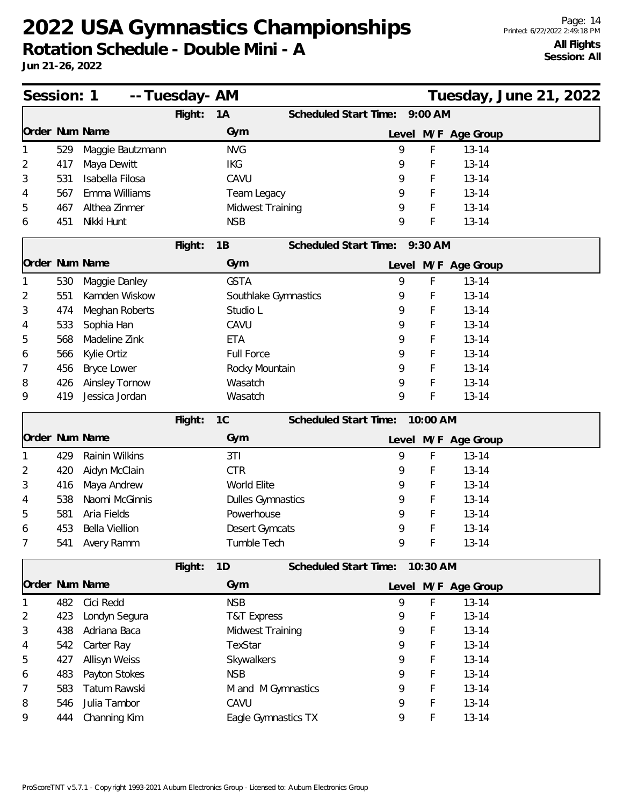**Rotation Schedule - Double Mini - A**

| Session: 1     |     | -- Tuesday- AM   |         |                          |                               |    |          |                     | Tuesday, June 21, 2022 |  |
|----------------|-----|------------------|---------|--------------------------|-------------------------------|----|----------|---------------------|------------------------|--|
|                |     |                  | Flight: | 1A                       | Scheduled Start Time:         |    | 9:00 AM  |                     |                        |  |
| Order Num Name |     |                  |         | Gym                      |                               |    |          | Level M/F Age Group |                        |  |
|                | 529 | Maggie Bautzmann |         | <b>NVG</b>               |                               | 9  | F        | $13 - 14$           |                        |  |
| 2              | 417 | Maya Dewitt      |         | <b>IKG</b>               |                               | 9  | F        | $13 - 14$           |                        |  |
| 3              | 531 | Isabella Filosa  |         | CAVU                     |                               | 9  | F        | $13 - 14$           |                        |  |
| 4              | 567 | Emma Williams    |         | Team Legacy              |                               | 9  | F        | $13 - 14$           |                        |  |
| 5              | 467 | Althea Zinmer    |         | Midwest Training         |                               | 9  | F        | $13 - 14$           |                        |  |
| 6              | 451 | Nikki Hunt       |         | <b>NSB</b>               |                               | 9  | F        | $13 - 14$           |                        |  |
|                |     |                  | Flight: | 1B                       | Scheduled Start Time: 9:30 AM |    |          |                     |                        |  |
| Order Num Name |     |                  |         | Gym                      |                               |    |          | Level M/F Age Group |                        |  |
|                | 530 | Maggie Danley    |         | <b>GSTA</b>              |                               | 9  | F        | $13 - 14$           |                        |  |
| 2              | 551 | Kamden Wiskow    |         | Southlake Gymnastics     |                               | 9  | F        | $13 - 14$           |                        |  |
| 3              | 474 | Meghan Roberts   |         | Studio L                 |                               | 9  | F        | $13 - 14$           |                        |  |
| 4              | 533 | Sophia Han       |         | CAVU                     |                               | 9  | F        | $13 - 14$           |                        |  |
| 5              | 568 | Madeline Zink    |         | <b>ETA</b>               |                               | 9  | F        | $13 - 14$           |                        |  |
| 6              | 566 | Kylie Ortiz      |         | <b>Full Force</b>        |                               | 9  | F        | $13 - 14$           |                        |  |
| 7              | 456 | Bryce Lower      |         | Rocky Mountain           |                               | 9  | F        | $13 - 14$           |                        |  |
| 8              | 426 | Ainsley Tornow   |         | Wasatch                  |                               | 9  | F        | $13 - 14$           |                        |  |
| 9              | 419 | Jessica Jordan   |         | Wasatch                  |                               | 9  | F        | $13 - 14$           |                        |  |
|                |     |                  | Flight: | 1C                       | Scheduled Start Time:         |    | 10:00 AM |                     |                        |  |
| Order Num Name |     |                  |         | Gym                      |                               |    |          | Level M/F Age Group |                        |  |
|                | 429 | Rainin Wilkins   |         | 3T1                      |                               | 9  | F        | $13 - 14$           |                        |  |
| 2              | 420 | Aidyn McClain    |         | <b>CTR</b>               |                               | 9  | F        | $13 - 14$           |                        |  |
| 3              | 416 | Maya Andrew      |         | World Elite              |                               | 9  | F        | $13 - 14$           |                        |  |
| 4              | 538 | Naomi McGinnis   |         | <b>Dulles Gymnastics</b> |                               | 9  | F        | $13 - 14$           |                        |  |
| 5              | 581 | Aria Fields      |         | Powerhouse               |                               | 9  | F        | $13 - 14$           |                        |  |
| 6              | 453 | Bella Viellion   |         | Desert Gymcats           |                               | 9  | F        | $13 - 14$           |                        |  |
|                | 541 | Avery Ramm       |         | Tumble Tech              |                               | 9. | Ł        | $13 - 14$           |                        |  |
|                |     |                  | Flight: | 1D                       | Scheduled Start Time:         |    | 10:30 AM |                     |                        |  |
|                |     | Order Num Name   |         | Gym                      |                               |    |          | Level M/F Age Group |                        |  |
|                | 482 | Cici Redd        |         | <b>NSB</b>               |                               | 9  | F        | $13 - 14$           |                        |  |
| 2              | 423 | Londyn Segura    |         | <b>T&amp;T Express</b>   |                               | 9  | F        | $13 - 14$           |                        |  |
| 3              | 438 | Adriana Baca     |         | Midwest Training         |                               | 9  | F        | $13 - 14$           |                        |  |
| 4              | 542 | Carter Ray       |         | TexStar                  |                               | 9  | F        | $13 - 14$           |                        |  |
| 5              | 427 | Allisyn Weiss    |         | Skywalkers               |                               | 9  | F        | $13 - 14$           |                        |  |
| 6              | 483 | Payton Stokes    |         | <b>NSB</b>               |                               | 9  | F        | $13 - 14$           |                        |  |
| 7              | 583 | Tatum Rawski     |         | M and M Gymnastics       |                               | 9  | F        | $13 - 14$           |                        |  |
| 8              | 546 | Julia Tambor     |         | CAVU                     |                               | 9  | F        | $13 - 14$           |                        |  |
| 9              | 444 | Channing Kim     |         | Eagle Gymnastics TX      |                               | 9  | F        | $13 - 14$           |                        |  |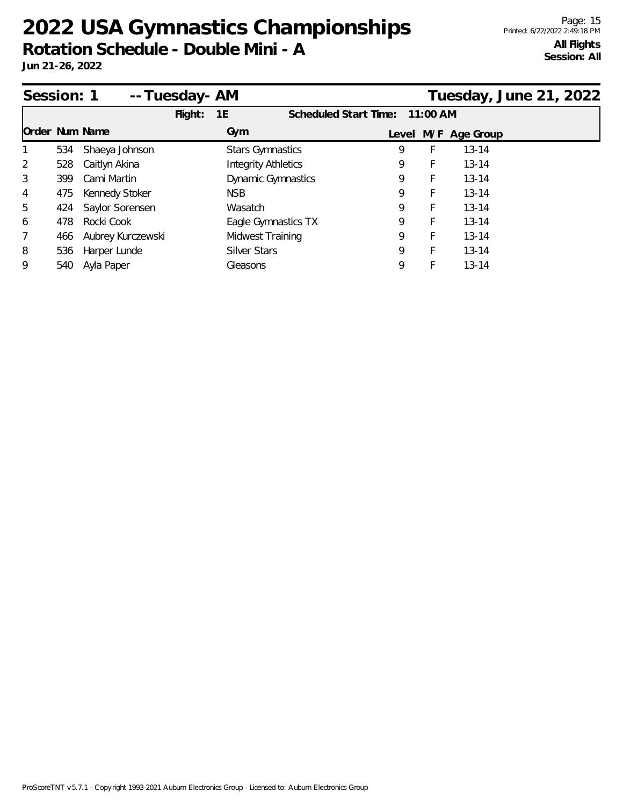| Session: 1     |     |                   | -- Tuesday- AM |                            |                           |                       |            |                     | Tuesday, June 21, 2022 |
|----------------|-----|-------------------|----------------|----------------------------|---------------------------|-----------------------|------------|---------------------|------------------------|
|                |     |                   | Flight:        | 1E                         |                           | Scheduled Start Time: | $11:00$ AM |                     |                        |
| Order Num Name |     |                   |                | Gym                        |                           |                       |            | Level M/F Age Group |                        |
| $\mathbf{1}$   | 534 | Shaeya Johnson    |                | <b>Stars Gymnastics</b>    |                           | 9                     | F          | $13 - 14$           |                        |
| 2              | 528 | Caitlyn Akina     |                | <b>Integrity Athletics</b> |                           | 9                     | F          | $13 - 14$           |                        |
| 3              | 399 | Cami Martin       |                |                            | <b>Dynamic Gymnastics</b> | 9                     | F          | $13 - 14$           |                        |
| 4              | 475 | Kennedy Stoker    |                | NSB.                       |                           | 9                     | F          | $13 - 14$           |                        |
| 5              | 424 | Saylor Sorensen   |                | Wasatch                    |                           | 9                     | F          | $13 - 14$           |                        |
| 6              | 478 | Rocki Cook        |                |                            | Eagle Gymnastics TX       | 9                     | F          | $13 - 14$           |                        |
| 7              | 466 | Aubrey Kurczewski |                | Midwest Training           |                           | 9                     | F          | $13 - 14$           |                        |
| 8              | 536 | Harper Lunde      |                | <b>Silver Stars</b>        |                           | 9                     | F          | $13 - 14$           |                        |
| 9              | 540 | Ayla Paper        |                | Gleasons                   |                           | 9                     | F          | $13 - 14$           |                        |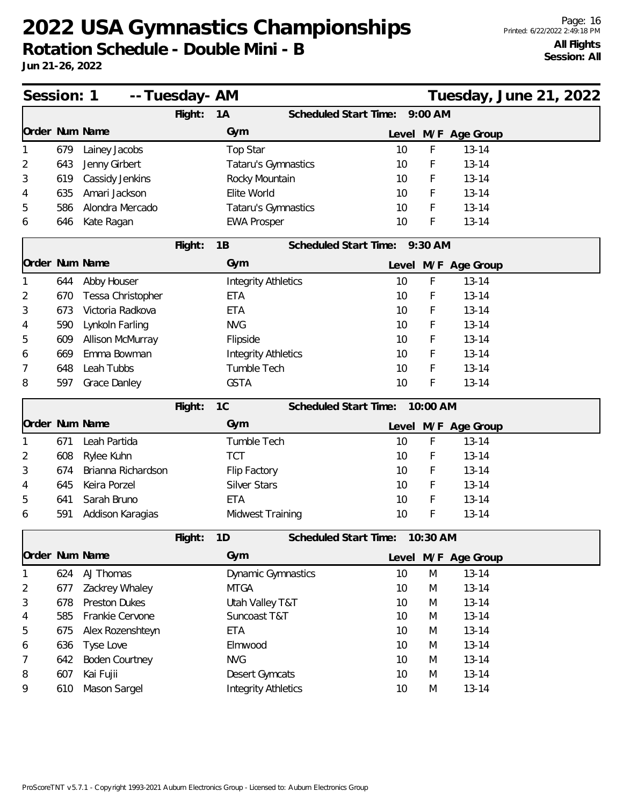**Rotation Schedule - Double Mini - B**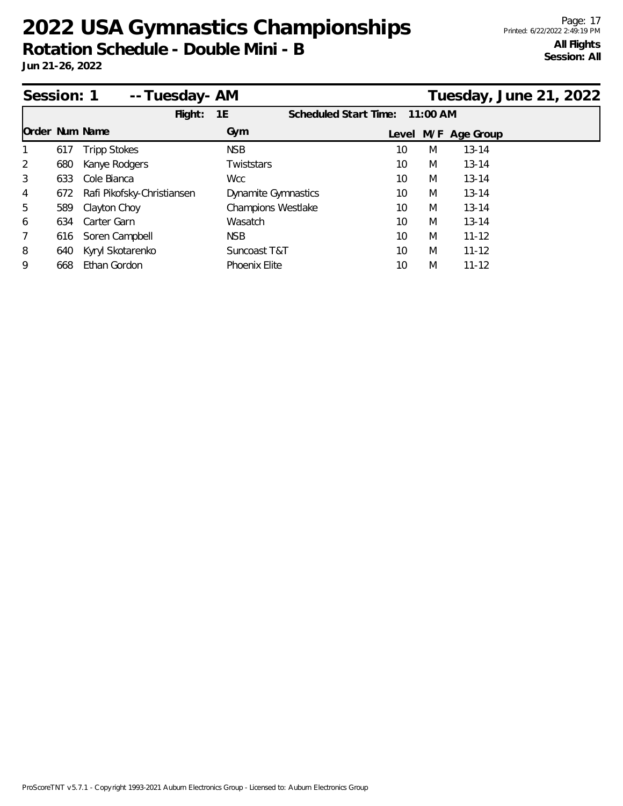**Rotation Schedule - Double Mini - B**

| Session: 1     |     | -- Tuesday- AM             |                            |                       |            |   |                     | Tuesday, June 21, 2022 |
|----------------|-----|----------------------------|----------------------------|-----------------------|------------|---|---------------------|------------------------|
|                |     | Flight:                    | 1E                         | Scheduled Start Time: | $11:00$ AM |   |                     |                        |
| Order Num Name |     |                            | Gym                        |                       |            |   | Level M/F Age Group |                        |
|                | 617 | <b>Tripp Stokes</b>        | <b>NSB</b>                 | 10                    |            | M | $13 - 14$           |                        |
| 2              | 680 | Kanye Rodgers              | Twiststars                 | 10                    |            | M | $13 - 14$           |                        |
| 3              | 633 | Cole Bianca                | Wcc                        | 10                    |            | M | $13 - 14$           |                        |
| 4              | 672 | Rafi Pikofsky-Christiansen | <b>Dynamite Gymnastics</b> | 10                    |            | M | $13 - 14$           |                        |
| 5              | 589 | Clayton Choy               | <b>Champions Westlake</b>  | 10                    |            | M | $13 - 14$           |                        |
| 6              | 634 | Carter Garn                | Wasatch                    | 10                    |            | M | $13 - 14$           |                        |
| 7              | 616 | Soren Campbell             | <b>NSB</b>                 | 10                    |            | M | $11 - 12$           |                        |
| 8              | 640 | Kyryl Skotarenko           | Suncoast T&T               | 10                    |            | M | $11 - 12$           |                        |
| 9              | 668 | Ethan Gordon               | <b>Phoenix Elite</b>       | 10                    |            | M | $11 - 12$           |                        |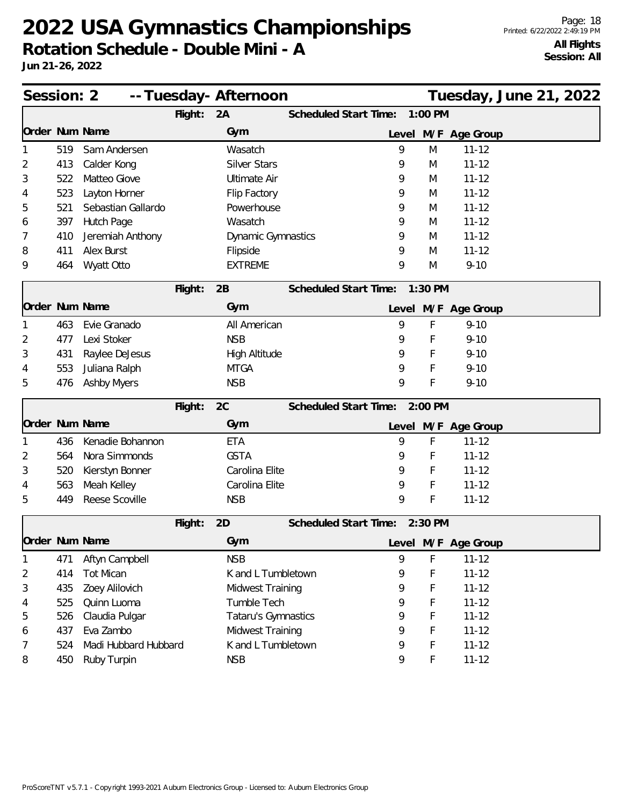**Jun 21-26, 2022**

Page: 18 Printed: 6/22/2022 2:49:19 PM **All Flights Session: All**

| Session: 2<br>-- Tuesday- Afternoon |     |                      |         |                      |                       |   |           |                     | Tuesday, June 21, 2022 |
|-------------------------------------|-----|----------------------|---------|----------------------|-----------------------|---|-----------|---------------------|------------------------|
|                                     |     |                      | Flight: | 2A                   | Scheduled Start Time: |   | 1:00 PM   |                     |                        |
| Order Num Name                      |     |                      |         | Gym                  |                       |   |           | Level M/F Age Group |                        |
|                                     | 519 | Sam Andersen         |         | Wasatch              |                       | 9 | M         | $11 - 12$           |                        |
| 2                                   | 413 | Calder Kong          |         | <b>Silver Stars</b>  |                       | 9 | M         | $11 - 12$           |                        |
| 3                                   | 522 | Matteo Giove         |         | <b>Ultimate Air</b>  |                       | 9 | M         | $11 - 12$           |                        |
| 4                                   | 523 | Layton Horner        |         | Flip Factory         |                       | 9 | M         | $11 - 12$           |                        |
| 5                                   | 521 | Sebastian Gallardo   |         | Powerhouse           |                       | 9 | M         | $11 - 12$           |                        |
| 6                                   | 397 | Hutch Page           |         | Wasatch              |                       | 9 | M         | $11 - 12$           |                        |
| 7                                   | 410 | Jeremiah Anthony     |         | Dynamic Gymnastics   |                       | 9 | M         | $11 - 12$           |                        |
| 8                                   | 411 | Alex Burst           |         | Flipside             |                       | 9 | M         | $11 - 12$           |                        |
| 9                                   | 464 | Wyatt Otto           |         | <b>EXTREME</b>       |                       | 9 | M         | $9 - 10$            |                        |
|                                     |     |                      | Flight: | 2B                   | Scheduled Start Time: |   | $1:30$ PM |                     |                        |
| Order Num Name                      |     |                      |         | Gym                  |                       |   |           | Level M/F Age Group |                        |
|                                     | 463 | Evie Granado         |         | All American         |                       | 9 | F         | $9 - 10$            |                        |
| 2                                   | 477 | Lexi Stoker          |         | <b>NSB</b>           |                       | 9 | F         | $9 - 10$            |                        |
| 3                                   | 431 | Raylee DeJesus       |         | <b>High Altitude</b> |                       | 9 | F         | $9 - 10$            |                        |
| 4                                   | 553 | Juliana Ralph        |         | <b>MTGA</b>          |                       | 9 | F         | $9 - 10$            |                        |
| 5                                   | 476 | <b>Ashby Myers</b>   |         | <b>NSB</b>           |                       | 9 | F         | $9 - 10$            |                        |
|                                     |     |                      | Flight: | 2C                   | Scheduled Start Time: |   | 2:00 PM   |                     |                        |
| Order Num Name                      |     |                      |         | Gym                  |                       |   |           | Level M/F Age Group |                        |
| 1                                   | 436 | Kenadie Bohannon     |         | <b>ETA</b>           |                       | 9 | F         | $11 - 12$           |                        |
| 2                                   | 564 | Nora Simmonds        |         | <b>GSTA</b>          |                       | 9 | F         | $11 - 12$           |                        |
| 3                                   | 520 | Kierstyn Bonner      |         | Carolina Elite       |                       | 9 | F         | $11 - 12$           |                        |
| 4                                   | 563 | Meah Kelley          |         | Carolina Elite       |                       | 9 | F         | $11 - 12$           |                        |
| 5                                   | 449 | Reese Scoville       |         | <b>NSB</b>           |                       | 9 | F         | $11 - 12$           |                        |
|                                     |     |                      | Flight: | 2D                   | Scheduled Start Time: |   | $2:30$ PM |                     |                        |
| Order Num Name                      |     |                      |         | Gym                  |                       |   |           | Level M/F Age Group |                        |
| 1                                   | 471 | Aftyn Campbell       |         | <b>NSB</b>           |                       | 9 | F         | $11 - 12$           |                        |
| 2                                   | 414 | <b>Tot Mican</b>     |         | K and L Tumbletown   |                       | 9 | F         | $11 - 12$           |                        |
| 3                                   | 435 | Zoey Alilovich       |         | Midwest Training     |                       | 9 | F         | $11 - 12$           |                        |
| 4                                   | 525 | Quinn Luoma          |         | Tumble Tech          |                       | 9 | F         | $11 - 12$           |                        |
| 5                                   | 526 | Claudia Pulgar       |         | Tataru's Gymnastics  |                       | 9 | F         | $11 - 12$           |                        |
| 6                                   | 437 | Eva Zambo            |         | Midwest Training     |                       | 9 | F         | $11 - 12$           |                        |
| 7                                   | 524 | Madi Hubbard Hubbard |         | K and L Tumbletown   |                       | 9 | F         | $11 - 12$           |                        |
| 8                                   | 450 | Ruby Turpin          |         | <b>NSB</b>           |                       | 9 | F         | $11 - 12$           |                        |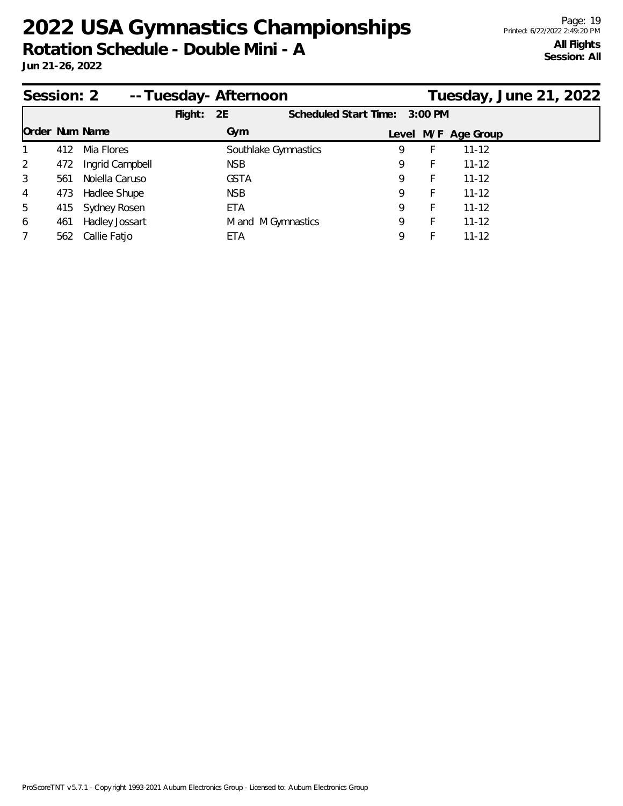| Session: 2            |     |                  |            | --Tuesday-Afternoon |                       |   |           |                     | Tuesday, June 21, 2022 |  |
|-----------------------|-----|------------------|------------|---------------------|-----------------------|---|-----------|---------------------|------------------------|--|
|                       |     |                  | $F$ light: | 2E                  | Scheduled Start Time: |   | $3:00$ PM |                     |                        |  |
| <b>Order Num Name</b> |     |                  |            | Gym                 |                       |   |           | Level M/F Age Group |                        |  |
| 1                     | 412 | Mia Flores       |            |                     | Southlake Gymnastics  | 9 | Ł         | $11 - 12$           |                        |  |
| 2                     | 472 | Ingrid Campbell  |            | NSB.                |                       | 9 | F.        | $11 - 12$           |                        |  |
| 3                     | 561 | Noiella Caruso   |            | <b>GSTA</b>         |                       | 9 | F         | $11 - 12$           |                        |  |
| 4                     | 473 | Hadlee Shupe     |            | NSB.                |                       | 9 | F.        | $11 - 12$           |                        |  |
| 5                     |     | 415 Sydney Rosen |            | ETA                 |                       | 9 | F         | $11 - 12$           |                        |  |
| 6                     | 461 | Hadley Jossart   |            | M and M Gymnastics  |                       | 9 | F         | $11 - 12$           |                        |  |
| 7                     |     | 562 Callie Fatjo |            | ETA                 |                       | 9 |           | $11 - 12$           |                        |  |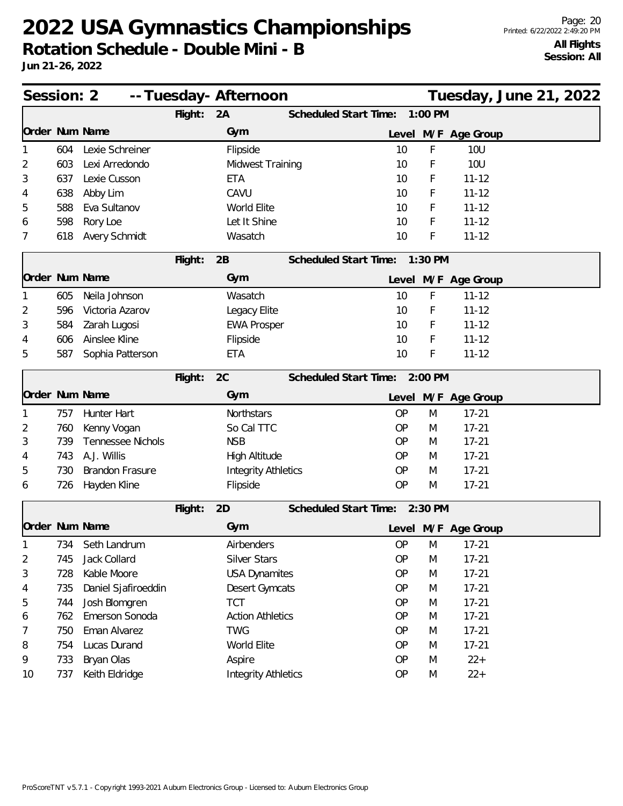| Session: 2 |     |                        | -- Tuesday- Afternoon |                            |                               |           |         |                     | Tuesday, June 21, 2022 |  |
|------------|-----|------------------------|-----------------------|----------------------------|-------------------------------|-----------|---------|---------------------|------------------------|--|
|            |     |                        | Flight:               | 2A                         | Scheduled Start Time:         |           | 1:00 PM |                     |                        |  |
|            |     | Order Num Name         |                       | Gym                        |                               |           |         | Level M/F Age Group |                        |  |
| 1          | 604 | Lexie Schreiner        |                       | Flipside                   |                               | 10        | F       | <b>10U</b>          |                        |  |
| 2          | 603 | Lexi Arredondo         |                       | Midwest Training           |                               | 10        | F       | <b>10U</b>          |                        |  |
| 3          | 637 | Lexie Cusson           |                       | <b>ETA</b>                 |                               | 10        | F       | $11 - 12$           |                        |  |
| 4          | 638 | Abby Lim               |                       | CAVU                       |                               | 10        | F       | $11 - 12$           |                        |  |
| 5          | 588 | Eva Sultanov           |                       | World Elite                |                               | 10        | F       | $11 - 12$           |                        |  |
| 6          | 598 | Rory Loe               |                       | Let It Shine               |                               | 10        | F       | $11 - 12$           |                        |  |
| 7          | 618 | Avery Schmidt          |                       | Wasatch                    |                               | 10        | F       | $11 - 12$           |                        |  |
|            |     |                        | Flight:               | 2B                         | Scheduled Start Time:         |           | 1:30 PM |                     |                        |  |
|            |     | Order Num Name         |                       | Gym                        |                               |           |         | Level M/F Age Group |                        |  |
| 1          | 605 | Neila Johnson          |                       | Wasatch                    |                               | 10        | F       | $11 - 12$           |                        |  |
| 2          | 596 | Victoria Azarov        |                       | Legacy Elite               |                               | 10        | F       | $11 - 12$           |                        |  |
| 3          | 584 | Zarah Lugosi           |                       | <b>EWA Prosper</b>         |                               | 10        | F       | $11 - 12$           |                        |  |
| 4          | 606 | Ainslee Kline          |                       | Flipside                   |                               | 10        | F       | $11 - 12$           |                        |  |
| 5          | 587 | Sophia Patterson       |                       | <b>ETA</b>                 |                               | 10        | F       | $11 - 12$           |                        |  |
|            |     |                        | Flight:               | 2C                         | Scheduled Start Time:         |           | 2:00 PM |                     |                        |  |
|            |     | Order Num Name         |                       | Gym                        |                               |           |         | Level M/F Age Group |                        |  |
|            | 757 | Hunter Hart            |                       | Northstars                 |                               | <b>OP</b> | M       | $17 - 21$           |                        |  |
| 2          | 760 | Kenny Vogan            |                       | So Cal TTC                 |                               | <b>OP</b> | M       | $17 - 21$           |                        |  |
| 3          | 739 | Tennessee Nichols      |                       | <b>NSB</b>                 |                               | <b>OP</b> | M       | $17 - 21$           |                        |  |
| 4          | 743 | A.J. Willis            |                       | High Altitude              |                               | <b>OP</b> | M       | $17 - 21$           |                        |  |
| 5          | 730 | <b>Brandon Frasure</b> |                       | <b>Integrity Athletics</b> |                               | <b>OP</b> | M       | $17 - 21$           |                        |  |
| 6          | 726 | Hayden Kline           |                       | Flipside                   |                               | <b>OP</b> | M       | $17 - 21$           |                        |  |
|            |     |                        | Flight:               | 2D                         | Scheduled Start Time: 2:30 PM |           |         |                     |                        |  |
|            |     | Order Num Name         |                       | Gym                        |                               |           |         | Level M/F Age Group |                        |  |
| 1          | 734 | Seth Landrum           |                       | Airbenders                 |                               | OP        | M       | $17 - 21$           |                        |  |
| 2          | 745 | Jack Collard           |                       | Silver Stars               |                               | <b>OP</b> | M       | $17 - 21$           |                        |  |
| 3          | 728 | Kable Moore            |                       | <b>USA Dynamites</b>       |                               | <b>OP</b> | M       | $17 - 21$           |                        |  |
| 4          | 735 | Daniel Sjafiroeddin    |                       | Desert Gymcats             |                               | OP        | M       | $17 - 21$           |                        |  |
| 5          | 744 | Josh Blomgren          |                       | <b>TCT</b>                 |                               | OP        | M       | $17 - 21$           |                        |  |
| 6          | 762 | Emerson Sonoda         |                       | <b>Action Athletics</b>    |                               | OP        | M       | $17 - 21$           |                        |  |
| 7          | 750 | Eman Alvarez           |                       | <b>TWG</b>                 |                               | OP        | M       | $17 - 21$           |                        |  |
| 8          | 754 | Lucas Durand           |                       | World Elite                |                               | OP        | M       | $17 - 21$           |                        |  |
| 9          | 733 | Bryan Olas             |                       | Aspire                     |                               | OP        | M       | $22 +$              |                        |  |
| 10         | 737 | Keith Eldridge         |                       | <b>Integrity Athletics</b> |                               | OP        | M       | $22 +$              |                        |  |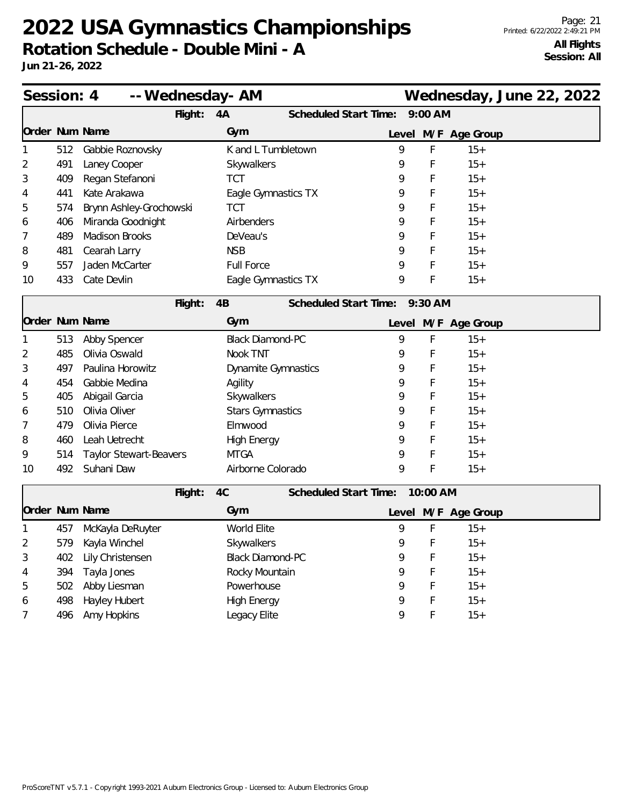| Session: 4     |     | -- Wednesday- AM              | Wednesday, June 22, 2022    |                               |  |
|----------------|-----|-------------------------------|-----------------------------|-------------------------------|--|
|                |     | Flight:                       | Scheduled Start Time:<br>4A | $9:00$ AM                     |  |
| Order Num Name |     |                               | Gym                         | Level M/F Age Group           |  |
| 1              | 512 | Gabbie Roznovsky              | K and L Tumbletown          | 9<br>F<br>$15+$               |  |
| 2              | 491 | Laney Cooper                  | Skywalkers                  | 9<br>F<br>$15+$               |  |
| 3              | 409 | Regan Stefanoni               | <b>TCT</b>                  | $15+$<br>F<br>9               |  |
| 4              | 441 | Kate Arakawa                  | Eagle Gymnastics TX         | F<br>$15+$<br>9               |  |
| 5              | 574 | Brynn Ashley-Grochowski       | <b>TCT</b>                  | $15+$<br>F<br>9               |  |
| 6              | 406 | Miranda Goodnight             | Airbenders                  | $15+$<br>9<br>F               |  |
| 7              | 489 | <b>Madison Brooks</b>         | DeVeau's                    | F<br>9<br>$15+$               |  |
| 8              | 481 | Cearah Larry                  | <b>NSB</b>                  | $15+$<br>F<br>9               |  |
| 9              | 557 | Jaden McCarter                | <b>Full Force</b>           | F<br>$15+$<br>9               |  |
| 10             | 433 | Cate Devlin                   | Eagle Gymnastics TX         | F<br>9<br>$15+$               |  |
|                |     | Flight:                       | 4B                          | Scheduled Start Time: 9:30 AM |  |
| Order Num Name |     |                               | Gym                         | Level M/F Age Group           |  |
| 1              | 513 | Abby Spencer                  | <b>Black Diamond-PC</b>     | F<br>9<br>$15+$               |  |
| 2              | 485 | Olivia Oswald                 | Nook TNT                    | F<br>$15+$<br>9               |  |
| 3              | 497 | Paulina Horowitz              | Dynamite Gymnastics         | $15+$<br>9<br>F               |  |
| 4              | 454 | Gabbie Medina                 | Agility                     | $15+$<br>9<br>F               |  |
| 5              | 405 | Abigail Garcia                | Skywalkers                  | $15+$<br>9<br>F               |  |
| 6              | 510 | Olivia Oliver                 | <b>Stars Gymnastics</b>     | $15+$<br>F<br>9               |  |
| 7              | 479 | Olivia Pierce                 | Elmwood                     | F<br>$15+$<br>9               |  |
| 8              | 460 | Leah Uetrecht                 | <b>High Energy</b>          | F<br>$15+$<br>9               |  |
| 9              | 514 | <b>Taylor Stewart-Beavers</b> | <b>MTGA</b>                 | F<br>$15+$<br>9               |  |
| 10             | 492 | Suhani Daw                    | Airborne Colorado           | F<br>9<br>$15+$               |  |
|                |     | Flight:                       | 4C<br>Scheduled Start Time: | 10:00 AM                      |  |
| Order Num Name |     |                               | Gym                         | Level M/F Age Group           |  |
|                |     | 457 McKayla DeRuyter          | World Elite                 | 9<br>F<br>$15+$               |  |
| 2              |     | 579 Kayla Winchel             | Skywalkers                  | 9<br>$\mathsf F$<br>$15+$     |  |
| 3              | 402 | Lily Christensen              | <b>Black Diamond-PC</b>     | 9<br>F<br>$15+$               |  |
| 4              | 394 | Tayla Jones                   | Rocky Mountain              | F<br>$15+$<br>9               |  |
| 5              | 502 | Abby Liesman                  | Powerhouse                  | $15+$<br>9<br>F               |  |
| 6              | 498 | Hayley Hubert                 | <b>High Energy</b>          | $15+$<br>9<br>F               |  |
| 7              | 496 | Amy Hopkins                   | Legacy Elite                | F<br>9<br>$15+$               |  |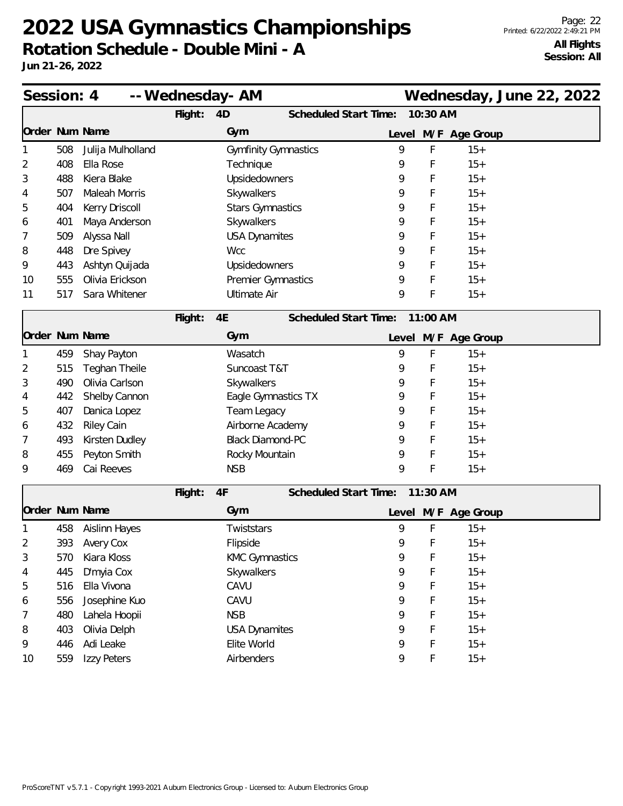| Session: 4 |     |                      |         | -- Wednesday- AM            |                              |   |          | Wednesday, June 22, 2022 |  |
|------------|-----|----------------------|---------|-----------------------------|------------------------------|---|----------|--------------------------|--|
|            |     |                      | Flight: | 4D                          | Scheduled Start Time:        |   | 10:30 AM |                          |  |
|            |     | Order Num Name       |         | Gym                         |                              |   |          | Level M/F Age Group      |  |
| 1          | 508 | Julija Mulholland    |         | <b>Gymfinity Gymnastics</b> |                              | 9 | F        | $15+$                    |  |
| 2          | 408 | Ella Rose            |         | Technique                   |                              | 9 | F        | $15+$                    |  |
| 3          | 488 | Kiera Blake          |         | Upsidedowners               |                              | 9 | F        | $15+$                    |  |
| 4          | 507 | Maleah Morris        |         | Skywalkers                  |                              | 9 | F        | $15+$                    |  |
| 5          | 404 | Kerry Driscoll       |         | <b>Stars Gymnastics</b>     |                              | 9 | F        | $15+$                    |  |
| 6          | 401 | Maya Anderson        |         | Skywalkers                  |                              | 9 | F        | $15+$                    |  |
| 7          | 509 | Alyssa Nall          |         | <b>USA Dynamites</b>        |                              | 9 | F        | $15+$                    |  |
| 8          | 448 | Dre Spivey           |         | <b>Wcc</b>                  |                              | 9 | F        | $15+$                    |  |
| 9          | 443 | Ashtyn Quijada       |         | Upsidedowners               |                              | 9 | F        | $15+$                    |  |
| 10         | 555 | Olivia Erickson      |         | Premier Gymnastics          |                              | 9 | F        | $15+$                    |  |
| 11         | 517 | Sara Whitener        |         | <b>Ultimate Air</b>         |                              | 9 | F        | $15+$                    |  |
|            |     |                      | Flight: | 4E                          | Scheduled Start Time:        |   | 11:00 AM |                          |  |
|            |     | Order Num Name       |         | Gym                         |                              |   |          | Level M/F Age Group      |  |
|            | 459 | Shay Payton          |         | Wasatch                     |                              | 9 | F        | $15+$                    |  |
| 2          | 515 | <b>Teghan Theile</b> |         | Suncoast T&T                |                              | 9 | F        | $15+$                    |  |
| 3          | 490 | Olivia Carlson       |         | Skywalkers                  |                              | 9 | F        | $15+$                    |  |
| 4          | 442 | Shelby Cannon        |         | Eagle Gymnastics TX         |                              | 9 | F        | $15+$                    |  |
| 5          | 407 | Danica Lopez         |         | Team Legacy                 |                              | 9 | F        | $15+$                    |  |
| 6          | 432 | <b>Riley Cain</b>    |         | Airborne Academy            |                              | 9 | F        | $15+$                    |  |
| 7          | 493 | Kirsten Dudley       |         | <b>Black Diamond-PC</b>     |                              | 9 | F        | $15+$                    |  |
| 8          | 455 | Peyton Smith         |         | Rocky Mountain              |                              | 9 | F        | $15+$                    |  |
| 9          | 469 | Cai Reeves           |         | <b>NSB</b>                  |                              | 9 | F        | $15+$                    |  |
|            |     |                      | Flight: | 4F                          | <b>Scheduled Start Time:</b> |   | 11:30 AM |                          |  |
|            |     | Order Num Name       |         | Gym                         |                              |   |          | Level M/F Age Group      |  |
|            | 458 | <b>Aislinn Hayes</b> |         | Twiststars                  |                              | 9 | F        | $15+$                    |  |
| 2          | 393 | Avery Cox            |         | Flipside                    |                              | 9 | F.       | $15+$                    |  |
| 3          | 570 | Kiara Kloss          |         | <b>KMC Gymnastics</b>       |                              | 9 | F        | $15+$                    |  |
| 4          | 445 | D'myia Cox           |         | Skywalkers                  |                              | 9 | F        | $15+$                    |  |
| 5          | 516 | Ella Vivona          |         | CAVU                        |                              | 9 | F        | $15+$                    |  |
| 6          | 556 | Josephine Kuo        |         | CAVU                        |                              | 9 | F        | $15+$                    |  |
| 7          | 480 | Lahela Hoopii        |         | <b>NSB</b>                  |                              | 9 | F        | $15+$                    |  |
| 8          | 403 | Olivia Delph         |         | <b>USA Dynamites</b>        |                              | 9 | F        | $15+$                    |  |
| 9          | 446 | Adi Leake            |         | Elite World                 |                              | 9 | F        | $15+$                    |  |
| 10         | 559 | Izzy Peters          |         | Airbenders                  |                              | 9 | F        | $15+$                    |  |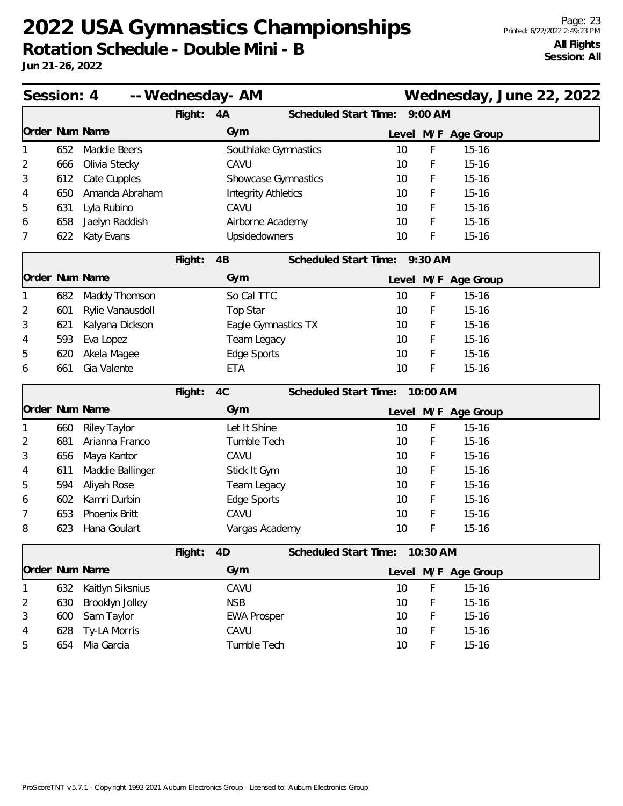| Session: 4     |     |                     | -- Wednesday- AM |                            |                              |                               |          | Wednesday, June 22, 2022 |  |  |
|----------------|-----|---------------------|------------------|----------------------------|------------------------------|-------------------------------|----------|--------------------------|--|--|
|                |     |                     | Flight:          | 4A                         | <b>Scheduled Start Time:</b> |                               | 9:00 AM  |                          |  |  |
| Order Num Name |     |                     |                  | Gym                        |                              |                               |          | Level M/F Age Group      |  |  |
| 1              | 652 | Maddie Beers        |                  | Southlake Gymnastics       |                              | 10                            | F        | $15 - 16$                |  |  |
| 2              | 666 | Olivia Stecky       |                  | CAVU                       |                              | 10                            | F        | $15 - 16$                |  |  |
| 3              | 612 | Cate Cupples        |                  | Showcase Gymnastics        |                              | 10                            | F        | $15 - 16$                |  |  |
| 4              | 650 | Amanda Abraham      |                  | <b>Integrity Athletics</b> |                              | 10                            | F        | $15 - 16$                |  |  |
| 5              | 631 | Lyla Rubino         |                  | CAVU                       |                              | 10                            | F        | $15 - 16$                |  |  |
| 6              | 658 | Jaelyn Raddish      |                  | Airborne Academy           |                              | 10                            | F        | $15 - 16$                |  |  |
| 7              | 622 | Katy Evans          |                  | Upsidedowners              |                              | 10                            | F        | $15 - 16$                |  |  |
|                |     |                     | Flight:          | 4B                         |                              | Scheduled Start Time: 9:30 AM |          |                          |  |  |
| Order Num Name |     |                     |                  | Gym                        |                              |                               |          | Level M/F Age Group      |  |  |
| 1              | 682 | Maddy Thomson       |                  | So Cal TTC                 |                              | 10                            | F        | $15 - 16$                |  |  |
| 2              | 601 | Rylie Vanausdoll    |                  | Top Star                   |                              | 10                            | F        | $15 - 16$                |  |  |
| 3              | 621 | Kalyana Dickson     |                  | Eagle Gymnastics TX        |                              | 10                            | F        | $15 - 16$                |  |  |
| 4              | 593 | Eva Lopez           |                  | Team Legacy                |                              | 10                            | F        | $15 - 16$                |  |  |
| 5              | 620 | Akela Magee         |                  | Edge Sports                |                              | 10                            | F        | $15 - 16$                |  |  |
| 6              | 661 | Gia Valente         |                  | <b>ETA</b>                 |                              | 10                            | F        | $15 - 16$                |  |  |
|                |     |                     | Flight:          | 4C                         | <b>Scheduled Start Time:</b> |                               | 10:00 AM |                          |  |  |
| Order Num Name |     |                     |                  | Gym                        |                              |                               |          | Level M/F Age Group      |  |  |
|                | 660 | <b>Riley Taylor</b> |                  | Let It Shine               |                              | 10                            | F        | $15 - 16$                |  |  |
| 2              | 681 | Arianna Franco      |                  | Tumble Tech                |                              | 10                            | F        | $15 - 16$                |  |  |
| 3              | 656 | Maya Kantor         |                  | CAVU                       |                              | 10                            | F        | $15 - 16$                |  |  |
| 4              | 611 | Maddie Ballinger    |                  | Stick It Gym               |                              | 10                            | F        | $15 - 16$                |  |  |
| 5              | 594 | Aliyah Rose         |                  | Team Legacy                |                              | 10                            | F        | $15 - 16$                |  |  |
| 6              | 602 | Kamri Durbin        |                  | Edge Sports                |                              | 10                            | F        | $15 - 16$                |  |  |
| 7              | 653 | Phoenix Britt       |                  | CAVU                       |                              | 10                            | F        | $15 - 16$                |  |  |
| 8              | 623 | Hana Goulart        |                  | Vargas Academy             |                              | 10                            | F        | $15 - 16$                |  |  |
|                |     |                     | Flight:          | 4D                         | Scheduled Start Time:        |                               | 10:30 AM |                          |  |  |
| Order Num Name |     |                     |                  | Gym                        |                              | Level                         |          | M/F Age Group            |  |  |
|                | 632 | Kaitlyn Siksnius    |                  | CAVU                       |                              | 10                            | F        | $15 - 16$                |  |  |
| 2              | 630 | Brooklyn Jolley     |                  | <b>NSB</b>                 |                              | 10                            | F        | $15 - 16$                |  |  |
| 3              | 600 | Sam Taylor          |                  | <b>EWA Prosper</b>         |                              | 10                            | F        | $15 - 16$                |  |  |
| 4              | 628 | Ty-LA Morris        |                  | CAVU                       |                              | 10                            | F        | $15 - 16$                |  |  |
| 5              | 654 | Mia Garcia          |                  | Tumble Tech                |                              | 10                            | F        | $15 - 16$                |  |  |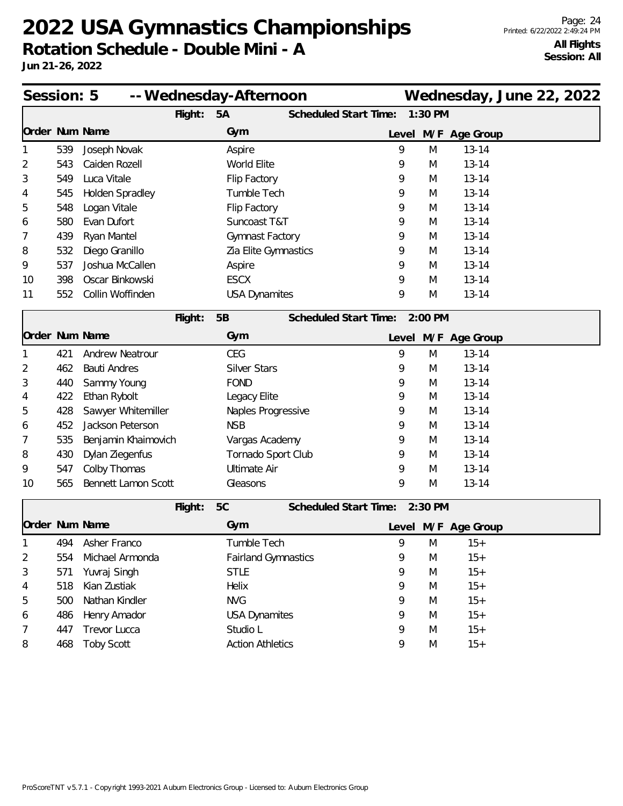| Session: 5<br>-- Wednesday-Afternoon |     |                     |         |                     |                            |                               |   |           | Wednesday, June 22, 2022 |  |  |
|--------------------------------------|-----|---------------------|---------|---------------------|----------------------------|-------------------------------|---|-----------|--------------------------|--|--|
|                                      |     |                     | Flight: | 5A                  |                            | <b>Scheduled Start Time:</b>  |   | 1:30 PM   |                          |  |  |
|                                      |     | Order Num Name      |         | Gym                 |                            |                               |   |           | Level M/F Age Group      |  |  |
|                                      | 539 | Joseph Novak        |         | Aspire              |                            |                               | 9 | M         | $13 - 14$                |  |  |
| 2                                    | 543 | Caiden Rozell       |         | World Elite         |                            |                               | 9 | M         | $13 - 14$                |  |  |
| 3                                    | 549 | Luca Vitale         |         | Flip Factory        |                            |                               | 9 | M         | $13 - 14$                |  |  |
| 4                                    | 545 | Holden Spradley     |         | Tumble Tech         |                            |                               | 9 | M         | $13 - 14$                |  |  |
| 5                                    | 548 | Logan Vitale        |         | Flip Factory        |                            |                               | 9 | M         | $13 - 14$                |  |  |
| 6                                    | 580 | Evan Dufort         |         |                     | Suncoast T&T               |                               | 9 | M         | $13 - 14$                |  |  |
| 7                                    | 439 | Ryan Mantel         |         |                     | Gymnast Factory            |                               | 9 | M         | $13 - 14$                |  |  |
| 8                                    | 532 | Diego Granillo      |         |                     | Zia Elite Gymnastics       |                               | 9 | M         | $13 - 14$                |  |  |
| 9                                    | 537 | Joshua McCallen     |         | Aspire              |                            |                               | 9 | M         | $13 - 14$                |  |  |
| 10                                   | 398 | Oscar Binkowski     |         | <b>ESCX</b>         |                            |                               | 9 | M         | $13 - 14$                |  |  |
| 11                                   | 552 | Collin Woffinden    |         |                     | <b>USA Dynamites</b>       |                               | 9 | M         | $13 - 14$                |  |  |
|                                      |     |                     | Flight: | 5B                  |                            | <b>Scheduled Start Time:</b>  |   | $2:00$ PM |                          |  |  |
|                                      |     | Order Num Name      |         | Gym                 |                            |                               |   |           | Level M/F Age Group      |  |  |
|                                      | 421 | Andrew Neatrour     |         | <b>CEG</b>          |                            |                               | 9 | M         | $13 - 14$                |  |  |
| 2                                    | 462 | <b>Bauti Andres</b> |         | <b>Silver Stars</b> |                            |                               | 9 | M         | $13 - 14$                |  |  |
| 3                                    | 440 | Sammy Young         |         | <b>FOND</b>         |                            |                               | 9 | M         | $13 - 14$                |  |  |
| 4                                    | 422 | Ethan Rybolt        |         | Legacy Elite        |                            |                               | 9 | M         | $13 - 14$                |  |  |
| 5                                    | 428 | Sawyer Whitemiller  |         |                     | Naples Progressive         |                               | 9 | M         | $13 - 14$                |  |  |
| 6                                    | 452 | Jackson Peterson    |         | <b>NSB</b>          |                            |                               | 9 | M         | $13 - 14$                |  |  |
| 7                                    | 535 | Benjamin Khaimovich |         |                     | Vargas Academy             |                               | 9 | M         | $13 - 14$                |  |  |
| 8                                    | 430 | Dylan Ziegenfus     |         |                     | Tornado Sport Club         |                               | 9 | M         | $13 - 14$                |  |  |
| 9                                    | 547 | Colby Thomas        |         | <b>Ultimate Air</b> |                            |                               | 9 | M         | $13 - 14$                |  |  |
| 10                                   | 565 | Bennett Lamon Scott |         | Gleasons            |                            |                               | 9 | M         | $13 - 14$                |  |  |
|                                      |     |                     | Flight: | 5C                  |                            | Scheduled Start Time: 2:30 PM |   |           |                          |  |  |
|                                      |     | Order Num Name      |         | Gym                 |                            |                               |   |           | Level M/F Age Group      |  |  |
|                                      | 494 | Asher Franco        |         | Tumble Tech         |                            |                               | 9 | M         | $15+$                    |  |  |
| 2                                    | 554 | Michael Armonda     |         |                     | <b>Fairland Gymnastics</b> |                               | 9 | M         | $15+$                    |  |  |
| 3                                    | 571 | Yuvraj Singh        |         | <b>STLE</b>         |                            |                               | 9 | M         | $15+$                    |  |  |
| 4                                    | 518 | Kian Zustiak        |         | Helix               |                            |                               | 9 | M         | $15+$                    |  |  |
| 5                                    | 500 | Nathan Kindler      |         | <b>NVG</b>          |                            |                               | 9 | M         | $15+$                    |  |  |
| 6                                    | 486 | Henry Amador        |         |                     | <b>USA Dynamites</b>       |                               | 9 | M         | $15+$                    |  |  |
| 7                                    | 447 | Trevor Lucca        |         | Studio L            |                            |                               | 9 | M         | $15+$                    |  |  |
| 8                                    | 468 | <b>Toby Scott</b>   |         |                     | <b>Action Athletics</b>    |                               | 9 | M         | $15+$                    |  |  |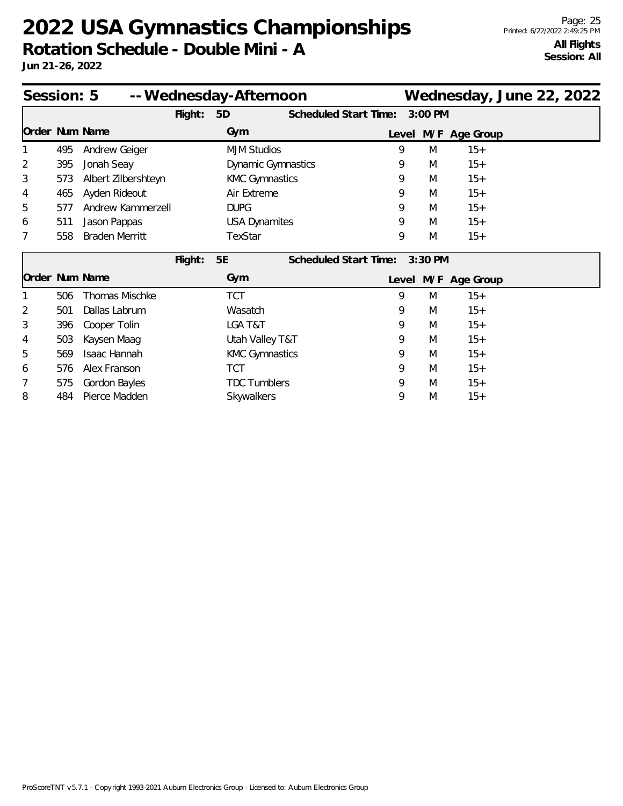| Session: 5<br>-- Wednesday-Afternoon |     |                       |         |                           |  |                              |       |         | Wednesday, June 22, 2022 |  |  |
|--------------------------------------|-----|-----------------------|---------|---------------------------|--|------------------------------|-------|---------|--------------------------|--|--|
|                                      |     |                       | Flight: | 5D                        |  | <b>Scheduled Start Time:</b> |       | 3:00 PM |                          |  |  |
| Order Num Name                       |     |                       |         | Gym                       |  |                              |       |         | Level M/F Age Group      |  |  |
|                                      | 495 | Andrew Geiger         |         | <b>MJM Studios</b>        |  |                              | 9     | M       | $15+$                    |  |  |
| 2                                    | 395 | Jonah Seay            |         | <b>Dynamic Gymnastics</b> |  |                              | 9     | M       | $15+$                    |  |  |
| 3                                    | 573 | Albert Zilbershteyn   |         | <b>KMC Gymnastics</b>     |  |                              | 9     | M       | $15+$                    |  |  |
| 4                                    | 465 | Ayden Rideout         |         | Air Extreme               |  |                              | 9     | M       | $15+$                    |  |  |
| 5                                    | 577 | Andrew Kammerzell     |         | <b>DUPG</b>               |  |                              | 9     | M       | $15+$                    |  |  |
| 6                                    | 511 | Jason Pappas          |         | <b>USA Dynamites</b>      |  |                              | 9     | M       | $15+$                    |  |  |
| 7                                    | 558 | <b>Braden Merritt</b> |         | TexStar                   |  |                              | 9     | M       | $15+$                    |  |  |
|                                      |     |                       | Flight: | <b>5E</b>                 |  | <b>Scheduled Start Time:</b> |       | 3:30 PM |                          |  |  |
| Order Num Name                       |     |                       |         | Gym                       |  |                              | Level |         | M/F Age Group            |  |  |
|                                      | 506 | Thomas Mischke        |         | <b>TCT</b>                |  |                              | 9     | M       | $15+$                    |  |  |
| $\overline{2}$                       | 501 | Dallas Labrum         |         | Wasatch                   |  |                              | 9     | M       | $15+$                    |  |  |
| 3                                    | 396 | Cooper Tolin          |         | LGA T&T                   |  |                              | 9     | M       | $15+$                    |  |  |
| 4                                    | 503 | Kaysen Maag           |         | Utah Valley T&T           |  |                              | 9     | M       | $15+$                    |  |  |
| 5                                    | 569 | Isaac Hannah          |         | <b>KMC Gymnastics</b>     |  |                              | 9     | M       | $15+$                    |  |  |
| 6                                    | 576 | Alex Franson          |         | TCT                       |  |                              | 9     | M       | $15+$                    |  |  |
| 7                                    | 575 | Gordon Bayles         |         | <b>TDC Tumblers</b>       |  |                              | 9     | M       | $15+$                    |  |  |
| 8                                    | 484 | Pierce Madden         |         | <b>Skywalkers</b>         |  |                              | 9     | M       | $15+$                    |  |  |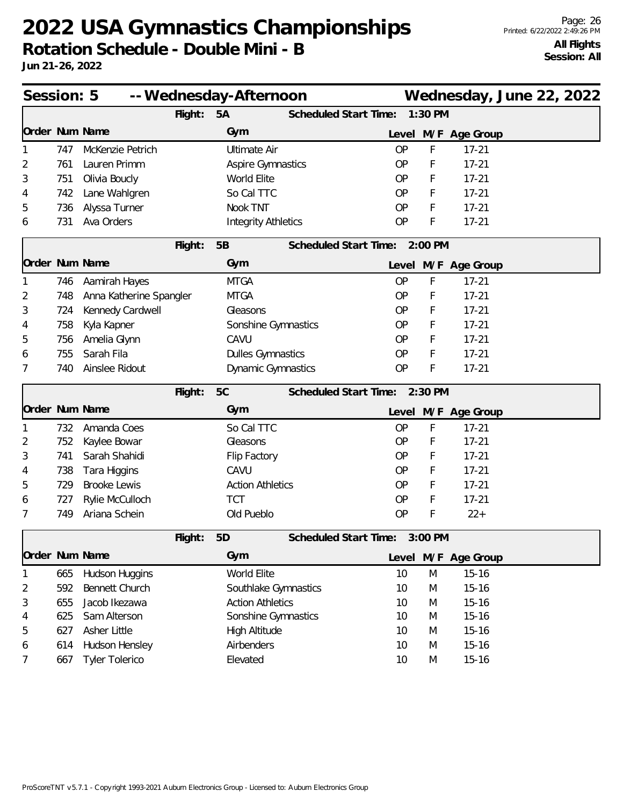| Session: 5<br>-- Wednesday-Afternoon |     |                         |         |                            |                              |           |           |                     | Wednesday, June 22, 2022 |  |
|--------------------------------------|-----|-------------------------|---------|----------------------------|------------------------------|-----------|-----------|---------------------|--------------------------|--|
|                                      |     |                         | Flight: | 5A                         | <b>Scheduled Start Time:</b> |           | 1:30 PM   |                     |                          |  |
| Order Num Name                       |     |                         |         | Gym                        |                              | Level     |           | M/F Age Group       |                          |  |
|                                      | 747 | McKenzie Petrich        |         | <b>Ultimate Air</b>        |                              | <b>OP</b> | F         | $17 - 21$           |                          |  |
| 2                                    | 761 | Lauren Primm            |         | Aspire Gymnastics          |                              | <b>OP</b> | F         | $17 - 21$           |                          |  |
| 3                                    | 751 | Olivia Boucly           |         | World Elite                |                              | <b>OP</b> | F         | $17 - 21$           |                          |  |
| 4                                    | 742 | Lane Wahlgren           |         | So Cal TTC                 |                              | <b>OP</b> | F         | $17 - 21$           |                          |  |
| 5                                    | 736 | Alyssa Turner           |         | Nook TNT                   |                              | OP        | F         | $17 - 21$           |                          |  |
| 6                                    | 731 | Ava Orders              |         | <b>Integrity Athletics</b> |                              | OP        | F         | $17 - 21$           |                          |  |
|                                      |     |                         | Flight: | 5B                         | Scheduled Start Time:        |           | 2:00 PM   |                     |                          |  |
| Order Num Name                       |     |                         |         | Gym                        |                              |           |           | Level M/F Age Group |                          |  |
|                                      | 746 | Aamirah Hayes           |         | <b>MTGA</b>                |                              | <b>OP</b> | F         | $17 - 21$           |                          |  |
| 2                                    | 748 | Anna Katherine Spangler |         | <b>MTGA</b>                |                              | <b>OP</b> | F         | $17 - 21$           |                          |  |
| 3                                    | 724 | Kennedy Cardwell        |         | Gleasons                   |                              | <b>OP</b> | F         | $17 - 21$           |                          |  |
| 4                                    | 758 | Kyla Kapner             |         | Sonshine Gymnastics        |                              | <b>OP</b> | F         | $17 - 21$           |                          |  |
| 5                                    | 756 | Amelia Glynn            |         | CAVU                       |                              | <b>OP</b> | F         | $17 - 21$           |                          |  |
| 6                                    | 755 | Sarah Fila              |         | <b>Dulles Gymnastics</b>   |                              | <b>OP</b> | F         | $17 - 21$           |                          |  |
| 7                                    | 740 | Ainslee Ridout          |         | Dynamic Gymnastics         |                              | OP        | F         | $17 - 21$           |                          |  |
|                                      |     |                         | Flight: | 5C                         | Scheduled Start Time:        |           | $2:30$ PM |                     |                          |  |
| Order Num Name                       |     |                         |         | Gym                        |                              |           |           | Level M/F Age Group |                          |  |
|                                      | 732 | Amanda Coes             |         | So Cal TTC                 |                              | OP        | F         | $17 - 21$           |                          |  |
| 2                                    | 752 | Kaylee Bowar            |         | Gleasons                   |                              | <b>OP</b> | F         | $17 - 21$           |                          |  |
| 3                                    | 741 | Sarah Shahidi           |         | Flip Factory               |                              | <b>OP</b> | F         | $17 - 21$           |                          |  |
| 4                                    | 738 | Tara Higgins            |         | CAVU                       |                              | <b>OP</b> | F         | $17 - 21$           |                          |  |
| 5                                    | 729 | <b>Brooke Lewis</b>     |         | <b>Action Athletics</b>    |                              | <b>OP</b> | F         | $17 - 21$           |                          |  |
| 6                                    | 727 | Rylie McCulloch         |         | <b>TCT</b>                 |                              | <b>OP</b> | F         | $17 - 21$           |                          |  |
| 7                                    | 749 | Ariana Schein           |         | Old Pueblo                 |                              | <b>OP</b> | F         | $22+$               |                          |  |
|                                      |     |                         | Flight: | 5D                         | Scheduled Start Time:        |           | 3:00 PM   |                     |                          |  |
| Order Num Name                       |     |                         |         | Gym                        |                              | Level     |           | M/F Age Group       |                          |  |
|                                      | 665 | Hudson Huggins          |         | World Elite                |                              | 10        | M         | $15 - 16$           |                          |  |
| 2                                    | 592 | Bennett Church          |         | Southlake Gymnastics       |                              | 10        | M         | $15 - 16$           |                          |  |
| 3                                    | 655 | Jacob Ikezawa           |         | <b>Action Athletics</b>    |                              | 10        | M         | $15 - 16$           |                          |  |
| 4                                    | 625 | Sam Alterson            |         | Sonshine Gymnastics        |                              | 10        | M         | $15 - 16$           |                          |  |
| 5                                    | 627 | Asher Little            |         | High Altitude              |                              | 10        | M         | $15 - 16$           |                          |  |
| 6                                    | 614 | Hudson Hensley          |         | Airbenders                 |                              | 10        | M         | $15 - 16$           |                          |  |
| 7                                    | 667 | <b>Tyler Tolerico</b>   |         | Elevated                   |                              | 10        | M         | $15 - 16$           |                          |  |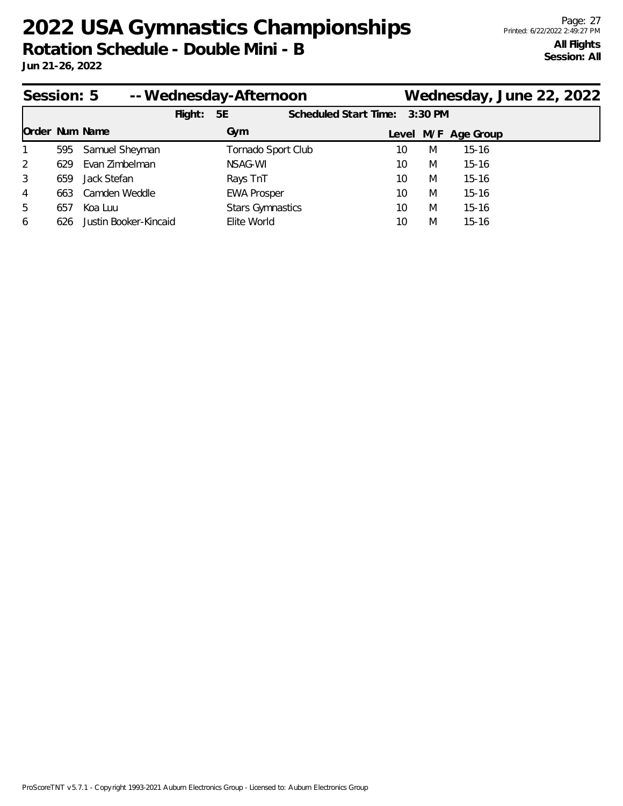| Session: 5     |     |                       | -- Wednesday-Afternoon |                         |  |                               |    |   | Wednesday, June 22, 2022 |  |
|----------------|-----|-----------------------|------------------------|-------------------------|--|-------------------------------|----|---|--------------------------|--|
|                |     |                       | Flight:                | 5E                      |  | Scheduled Start Time: 3:30 PM |    |   |                          |  |
| Order Num Name |     |                       |                        | Gym                     |  |                               |    |   | Level M/F Age Group      |  |
| $\mathbf{1}$   |     | 595 Samuel Sheyman    |                        | Tornado Sport Club      |  |                               | 10 | M | $15 - 16$                |  |
| 2              | 629 | Evan Zimbelman        |                        | NSAG-WI                 |  |                               | 10 | M | $15 - 16$                |  |
| 3              | 659 | Jack Stefan           |                        | Rays TnT                |  |                               | 10 | M | $15 - 16$                |  |
| 4              | 663 | Camden Weddle         |                        | <b>EWA Prosper</b>      |  |                               | 10 | M | $15 - 16$                |  |
| 5              | 657 | Koa Luu               |                        | <b>Stars Gymnastics</b> |  |                               | 10 | M | $15 - 16$                |  |
| 6              | 626 | Justin Booker-Kincaid |                        | Elite World             |  |                               | 10 | M | $15-16$                  |  |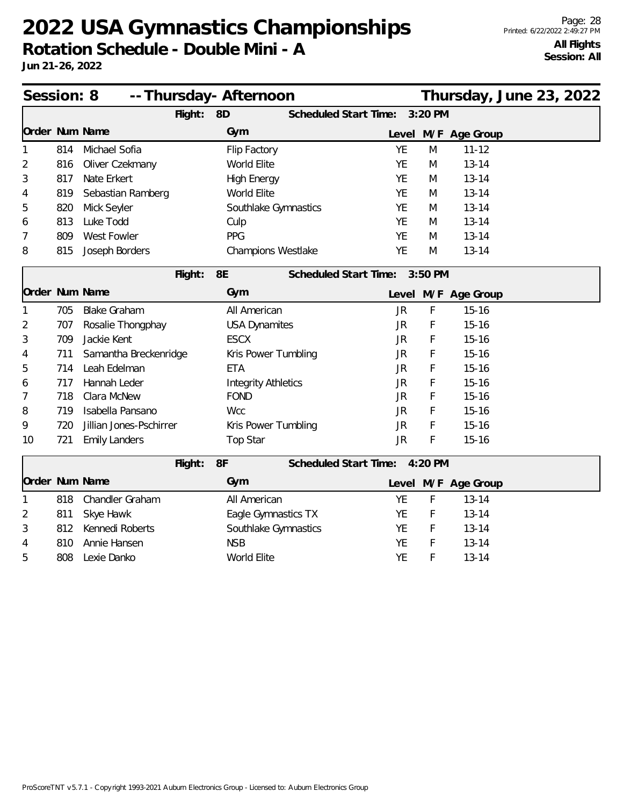| Session: 8     |     |                         | -- Thursday- Afternoon              |           |         |                     | Thursday, June 23, 2022 |
|----------------|-----|-------------------------|-------------------------------------|-----------|---------|---------------------|-------------------------|
|                |     | Flight:                 | 8D<br>Scheduled Start Time:         |           | 3:20 PM |                     |                         |
| Order Num Name |     |                         | Gym                                 |           |         | Level M/F Age Group |                         |
|                | 814 | Michael Sofia           | Flip Factory                        | <b>YE</b> | M       | $11 - 12$           |                         |
| 2              | 816 | Oliver Czekmany         | World Elite                         | <b>YE</b> | M       | $13 - 14$           |                         |
| 3              | 817 | Nate Erkert             | <b>High Energy</b>                  | <b>YE</b> | M       | $13 - 14$           |                         |
| 4              | 819 | Sebastian Ramberg       | World Elite                         | <b>YE</b> | M       | $13 - 14$           |                         |
| 5              | 820 | Mick Seyler             | Southlake Gymnastics                | <b>YE</b> | M       | $13 - 14$           |                         |
| 6              | 813 | Luke Todd               | Culp                                | YE        | M       | $13 - 14$           |                         |
| 7              | 809 | West Fowler             | PPG                                 | <b>YE</b> | M       | $13 - 14$           |                         |
| 8              | 815 | Joseph Borders          | Champions Westlake                  | YE        | M       | $13 - 14$           |                         |
|                |     | Flight:                 | 8E<br>Scheduled Start Time: 3:50 PM |           |         |                     |                         |
| Order Num Name |     |                         | Gym                                 |           |         | Level M/F Age Group |                         |
| 1              | 705 | <b>Blake Graham</b>     | All American                        | <b>JR</b> | F       | $15 - 16$           |                         |
| 2              | 707 | Rosalie Thongphay       | <b>USA Dynamites</b>                | <b>JR</b> | F       | $15 - 16$           |                         |
| 3              | 709 | Jackie Kent             | <b>ESCX</b>                         | JR        | F       | $15 - 16$           |                         |
| 4              | 711 | Samantha Breckenridge   | Kris Power Tumbling                 | JR        | F       | $15 - 16$           |                         |
| 5              | 714 | Leah Edelman            | <b>ETA</b>                          | JR        | F       | $15 - 16$           |                         |
| 6              | 717 | Hannah Leder            | <b>Integrity Athletics</b>          | <b>JR</b> | F       | $15 - 16$           |                         |
| 7              | 718 | Clara McNew             | <b>FOND</b>                         | JR        | F       | $15 - 16$           |                         |
| 8              | 719 | Isabella Pansano        | <b>Wcc</b>                          | JR        | F       | $15 - 16$           |                         |
| 9              | 720 | Jillian Jones-Pschirrer | Kris Power Tumbling                 | JR        | F       | $15 - 16$           |                         |
| 10             | 721 | <b>Emily Landers</b>    | <b>Top Star</b>                     | <b>JR</b> | F       | $15 - 16$           |                         |
|                |     | Flight:                 | 8F<br>Scheduled Start Time: 4:20 PM |           |         |                     |                         |
| Order Num Name |     |                         | Gym                                 |           |         | Level M/F Age Group |                         |
| 1              | 818 | Chandler Graham         | All American                        | YE        | F       | $13 - 14$           |                         |
| 2              | 811 | Skye Hawk               | Eagle Gymnastics TX                 | YE        | F       | $13 - 14$           |                         |
| 3              | 812 | Kennedi Roberts         | Southlake Gymnastics                | <b>YE</b> | F       | $13 - 14$           |                         |
| 4              | 810 | Annie Hansen            | <b>NSB</b>                          | YE        | F       | $13 - 14$           |                         |
| 5              | 808 | Lexie Danko             | World Elite                         | YE        | F       | $13 - 14$           |                         |